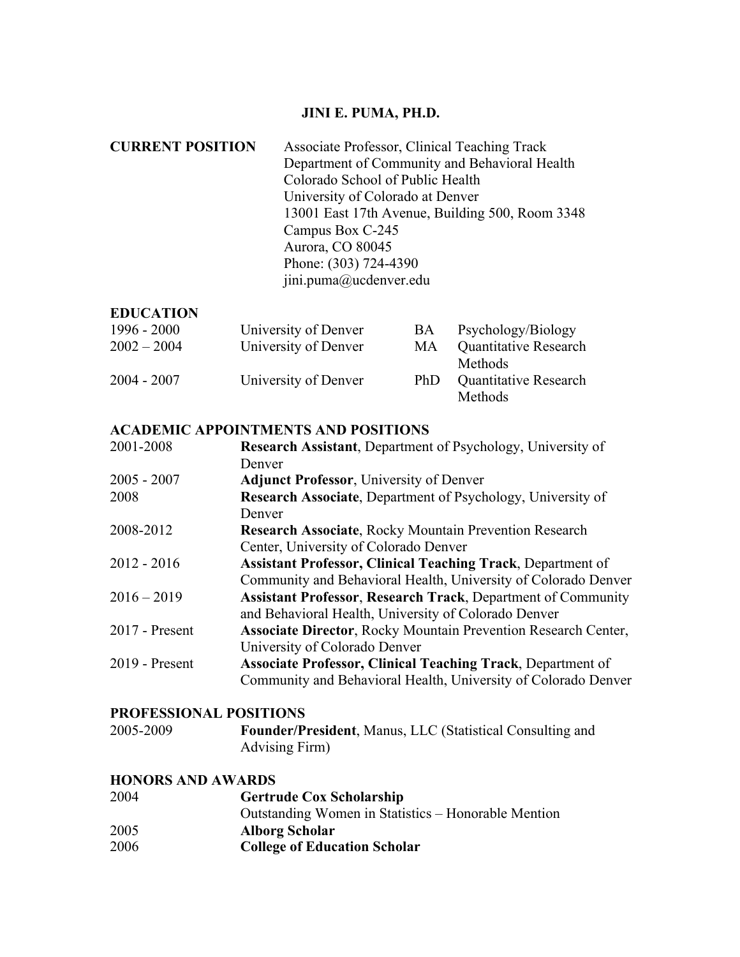#### **JINI E. PUMA, PH.D.**

**CURRENT POSITION** Associate Professor, Clinical Teaching Track Department of Community and Behavioral Health Colorado School of Public Health University of Colorado at Denver 13001 East 17th Avenue, Building 500, Room 3348 Campus Box C-245 Aurora, CO 80045 Phone: (303) 724-4390 jini.puma@ucdenver.edu

#### **EDUCATION**

| $1996 - 2000$ | University of Denver | BA.  | Psychology/Biology           |
|---------------|----------------------|------|------------------------------|
| $2002 - 2004$ | University of Denver | MA.  | <b>Quantitative Research</b> |
|               |                      |      | Methods                      |
| $2004 - 2007$ | University of Denver | PhD. | <b>Quantitative Research</b> |
|               |                      |      | Methods                      |

#### **ACADEMIC APPOINTMENTS AND POSITIONS**

| 2001-2008        | <b>Research Assistant, Department of Psychology, University of</b>    |
|------------------|-----------------------------------------------------------------------|
|                  | Denver                                                                |
| $2005 - 2007$    | <b>Adjunct Professor, University of Denver</b>                        |
| 2008             | <b>Research Associate, Department of Psychology, University of</b>    |
|                  | Denver                                                                |
| 2008-2012        | <b>Research Associate, Rocky Mountain Prevention Research</b>         |
|                  | Center, University of Colorado Denver                                 |
| $2012 - 2016$    | <b>Assistant Professor, Clinical Teaching Track, Department of</b>    |
|                  | Community and Behavioral Health, University of Colorado Denver        |
| $2016 - 2019$    | <b>Assistant Professor, Research Track, Department of Community</b>   |
|                  | and Behavioral Health, University of Colorado Denver                  |
| 2017 - Present   | <b>Associate Director, Rocky Mountain Prevention Research Center,</b> |
|                  | University of Colorado Denver                                         |
| $2019$ - Present | <b>Associate Professor, Clinical Teaching Track, Department of</b>    |
|                  | Community and Behavioral Health, University of Colorado Denver        |

#### **PROFESSIONAL POSITIONS**

| 2005-2009 | Founder/President, Manus, LLC (Statistical Consulting and |
|-----------|-----------------------------------------------------------|
|           | <b>Advising Firm</b> )                                    |

# **HONORS AND AWARDS**

| 2004 | <b>Gertrude Cox Scholarship</b>                     |
|------|-----------------------------------------------------|
|      | Outstanding Women in Statistics – Honorable Mention |
| 2005 | Alborg Scholar                                      |
| 2006 | <b>College of Education Scholar</b>                 |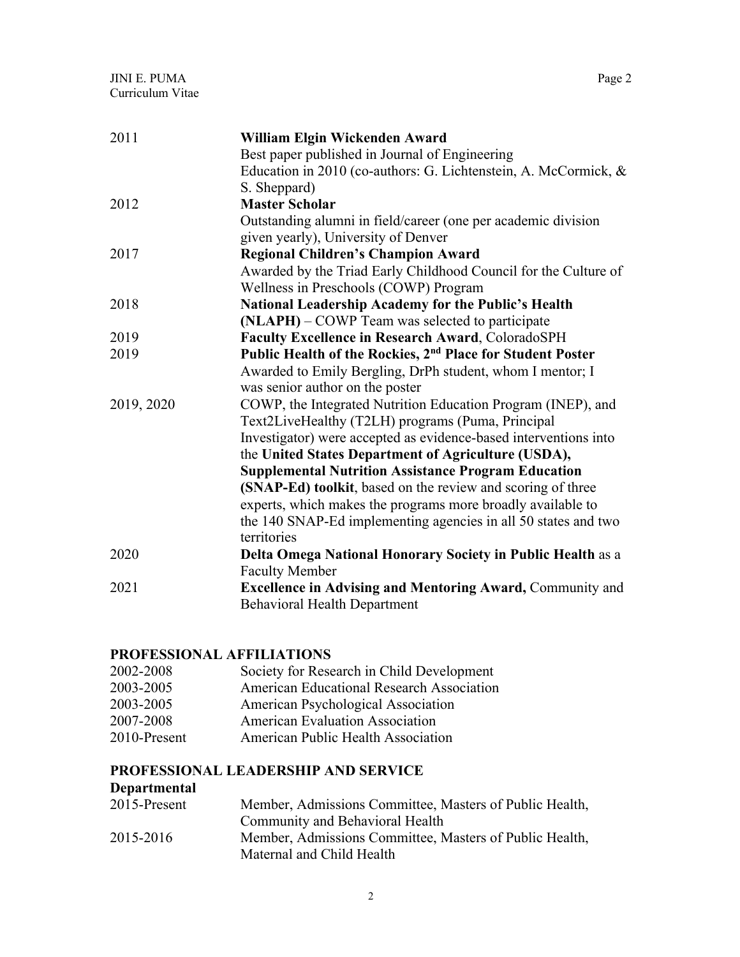| 2011       | William Elgin Wickenden Award                                          |
|------------|------------------------------------------------------------------------|
|            | Best paper published in Journal of Engineering                         |
|            | Education in 2010 (co-authors: G. Lichtenstein, A. McCormick, &        |
|            | S. Sheppard)                                                           |
| 2012       | <b>Master Scholar</b>                                                  |
|            | Outstanding alumni in field/career (one per academic division          |
|            | given yearly), University of Denver                                    |
| 2017       | <b>Regional Children's Champion Award</b>                              |
|            | Awarded by the Triad Early Childhood Council for the Culture of        |
|            | Wellness in Preschools (COWP) Program                                  |
| 2018       | National Leadership Academy for the Public's Health                    |
|            | (NLAPH) – COWP Team was selected to participate                        |
| 2019       | Faculty Excellence in Research Award, ColoradoSPH                      |
| 2019       | Public Health of the Rockies, 2 <sup>nd</sup> Place for Student Poster |
|            | Awarded to Emily Bergling, DrPh student, whom I mentor; I              |
|            | was senior author on the poster                                        |
| 2019, 2020 | COWP, the Integrated Nutrition Education Program (INEP), and           |
|            | Text2LiveHealthy (T2LH) programs (Puma, Principal                      |
|            | Investigator) were accepted as evidence-based interventions into       |
|            | the United States Department of Agriculture (USDA),                    |
|            | <b>Supplemental Nutrition Assistance Program Education</b>             |
|            | (SNAP-Ed) toolkit, based on the review and scoring of three            |
|            | experts, which makes the programs more broadly available to            |
|            | the 140 SNAP-Ed implementing agencies in all 50 states and two         |
|            | territories                                                            |
| 2020       | Delta Omega National Honorary Society in Public Health as a            |
|            | <b>Faculty Member</b>                                                  |
| 2021       | <b>Excellence in Advising and Mentoring Award, Community and</b>       |
|            | <b>Behavioral Health Department</b>                                    |

# **PROFESSIONAL AFFILIATIONS**

| 2002-2008    | Society for Research in Child Development        |
|--------------|--------------------------------------------------|
| 2003-2005    | <b>American Educational Research Association</b> |
| 2003-2005    | American Psychological Association               |
| 2007-2008    | <b>American Evaluation Association</b>           |
| 2010-Present | <b>American Public Health Association</b>        |
|              |                                                  |

# **PROFESSIONAL LEADERSHIP AND SERVICE**

# **Departmental**

| 2015-Present | Member, Admissions Committee, Masters of Public Health, |
|--------------|---------------------------------------------------------|
|              | Community and Behavioral Health                         |
| 2015-2016    | Member, Admissions Committee, Masters of Public Health, |
|              | Maternal and Child Health                               |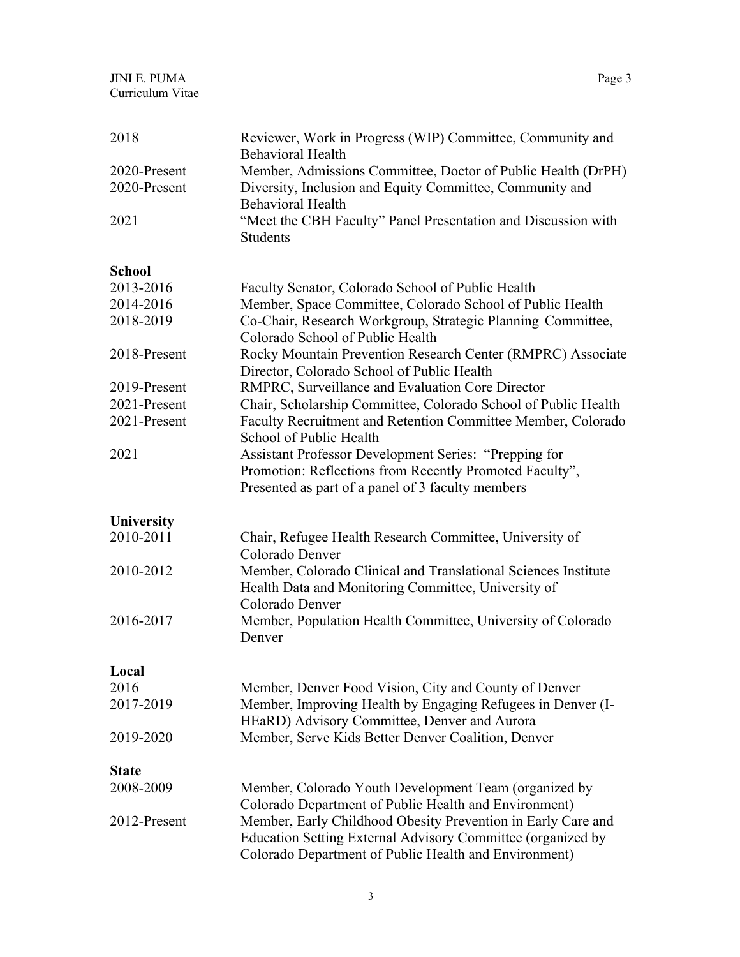| 2018                      | Reviewer, Work in Progress (WIP) Committee, Community and<br><b>Behavioral Health</b>                                 |
|---------------------------|-----------------------------------------------------------------------------------------------------------------------|
| 2020-Present              | Member, Admissions Committee, Doctor of Public Health (DrPH)                                                          |
| 2020-Present              | Diversity, Inclusion and Equity Committee, Community and                                                              |
|                           | <b>Behavioral Health</b>                                                                                              |
| 2021                      | "Meet the CBH Faculty" Panel Presentation and Discussion with                                                         |
|                           | <b>Students</b>                                                                                                       |
|                           |                                                                                                                       |
| <b>School</b>             |                                                                                                                       |
| 2013-2016                 | Faculty Senator, Colorado School of Public Health                                                                     |
| 2014-2016                 | Member, Space Committee, Colorado School of Public Health                                                             |
| 2018-2019                 | Co-Chair, Research Workgroup, Strategic Planning Committee,                                                           |
|                           | Colorado School of Public Health                                                                                      |
| 2018-Present              | Rocky Mountain Prevention Research Center (RMPRC) Associate                                                           |
|                           | Director, Colorado School of Public Health                                                                            |
| 2019-Present              | RMPRC, Surveillance and Evaluation Core Director                                                                      |
| 2021-Present              | Chair, Scholarship Committee, Colorado School of Public Health                                                        |
| 2021-Present              | Faculty Recruitment and Retention Committee Member, Colorado                                                          |
|                           | School of Public Health                                                                                               |
| 2021                      | <b>Assistant Professor Development Series: "Prepping for</b>                                                          |
|                           | Promotion: Reflections from Recently Promoted Faculty",                                                               |
|                           | Presented as part of a panel of 3 faculty members                                                                     |
|                           |                                                                                                                       |
| <b>University</b>         |                                                                                                                       |
| 2010-2011                 | Chair, Refugee Health Research Committee, University of                                                               |
|                           | Colorado Denver                                                                                                       |
| 2010-2012                 | Member, Colorado Clinical and Translational Sciences Institute                                                        |
|                           | Health Data and Monitoring Committee, University of                                                                   |
|                           | Colorado Denver                                                                                                       |
| 2016-2017                 | Member, Population Health Committee, University of Colorado                                                           |
|                           | Denver                                                                                                                |
|                           |                                                                                                                       |
| Local                     |                                                                                                                       |
| 2016                      | Member, Denver Food Vision, City and County of Denver                                                                 |
| 2017-2019                 | Member, Improving Health by Engaging Refugees in Denver (I-                                                           |
|                           | HEaRD) Advisory Committee, Denver and Aurora                                                                          |
| 2019-2020                 | Member, Serve Kids Better Denver Coalition, Denver                                                                    |
|                           |                                                                                                                       |
| <b>State</b><br>2008-2009 |                                                                                                                       |
|                           | Member, Colorado Youth Development Team (organized by                                                                 |
| 2012-Present              | Colorado Department of Public Health and Environment)<br>Member, Early Childhood Obesity Prevention in Early Care and |
|                           | Education Setting External Advisory Committee (organized by                                                           |
|                           |                                                                                                                       |
|                           | Colorado Department of Public Health and Environment)                                                                 |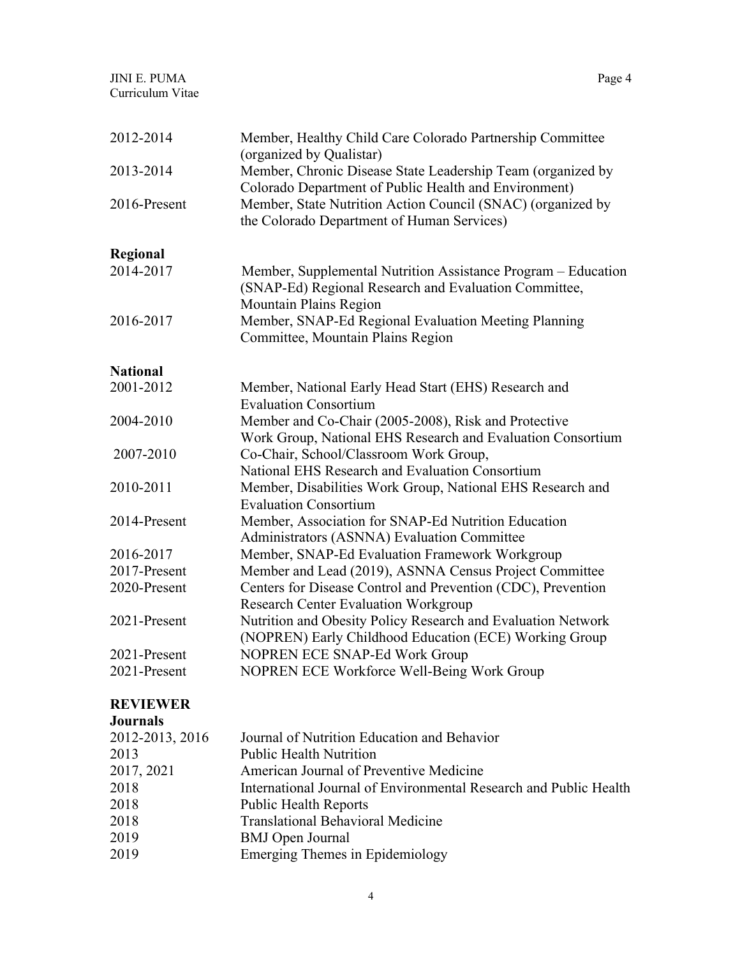| 2012-2014               | Member, Healthy Child Care Colorado Partnership Committee                                                                                        |
|-------------------------|--------------------------------------------------------------------------------------------------------------------------------------------------|
| 2013-2014               | (organized by Qualistar)<br>Member, Chronic Disease State Leadership Team (organized by<br>Colorado Department of Public Health and Environment) |
| 2016-Present            | Member, State Nutrition Action Council (SNAC) (organized by<br>the Colorado Department of Human Services)                                        |
| Regional                |                                                                                                                                                  |
| 2014-2017               | Member, Supplemental Nutrition Assistance Program – Education<br>(SNAP-Ed) Regional Research and Evaluation Committee,<br>Mountain Plains Region |
| 2016-2017               | Member, SNAP-Ed Regional Evaluation Meeting Planning<br>Committee, Mountain Plains Region                                                        |
| <b>National</b>         |                                                                                                                                                  |
| 2001-2012               | Member, National Early Head Start (EHS) Research and<br><b>Evaluation Consortium</b>                                                             |
| 2004-2010               | Member and Co-Chair (2005-2008), Risk and Protective<br>Work Group, National EHS Research and Evaluation Consortium                              |
| 2007-2010               | Co-Chair, School/Classroom Work Group,<br>National EHS Research and Evaluation Consortium                                                        |
| 2010-2011               | Member, Disabilities Work Group, National EHS Research and<br><b>Evaluation Consortium</b>                                                       |
| 2014-Present            | Member, Association for SNAP-Ed Nutrition Education<br>Administrators (ASNNA) Evaluation Committee                                               |
| 2016-2017               | Member, SNAP-Ed Evaluation Framework Workgroup                                                                                                   |
| 2017-Present            | Member and Lead (2019), ASNNA Census Project Committee                                                                                           |
| 2020-Present            | Centers for Disease Control and Prevention (CDC), Prevention<br><b>Research Center Evaluation Workgroup</b>                                      |
| 2021-Present            | Nutrition and Obesity Policy Research and Evaluation Network<br>(NOPREN) Early Childhood Education (ECE) Working Group                           |
| 2021-Present            | NOPREN ECE SNAP-Ed Work Group                                                                                                                    |
| 2021-Present            | NOPREN ECE Workforce Well-Being Work Group                                                                                                       |
| <b>REVIEWER</b>         |                                                                                                                                                  |
| <b>Journals</b>         |                                                                                                                                                  |
| 2012-2013, 2016<br>2013 | Journal of Nutrition Education and Behavior<br><b>Public Health Nutrition</b>                                                                    |
| 2017, 2021              | American Journal of Preventive Medicine                                                                                                          |
| 2018                    | International Journal of Environmental Research and Public Health                                                                                |
| 2018                    | <b>Public Health Reports</b>                                                                                                                     |
| 2018                    | <b>Translational Behavioral Medicine</b>                                                                                                         |
| 2019                    | <b>BMJ</b> Open Journal                                                                                                                          |

2019 Emerging Themes in Epidemiology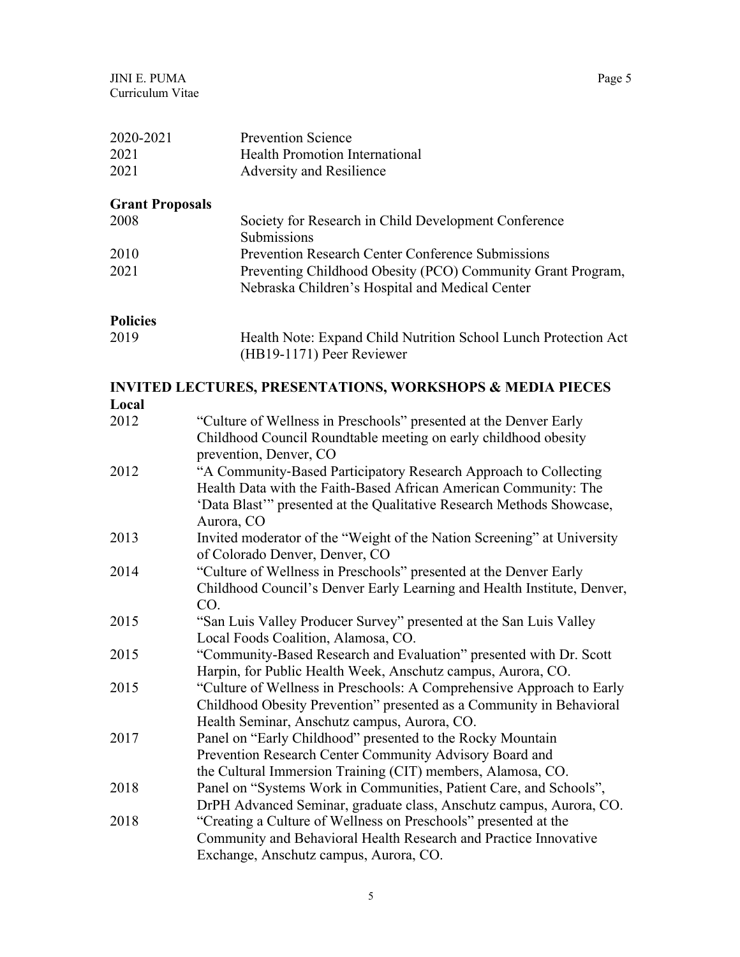| 2020-2021              | <b>Prevention Science</b>                                   |
|------------------------|-------------------------------------------------------------|
| 2021                   | <b>Health Promotion International</b>                       |
| 2021                   | Adversity and Resilience                                    |
| <b>Grant Proposals</b> |                                                             |
| 2008                   | Society for Research in Child Development Conference        |
|                        | Submissions                                                 |
| 2010                   | <b>Prevention Research Center Conference Submissions</b>    |
| 2021                   | Preventing Childhood Obesity (PCO) Community Grant Program, |
|                        | Nebraska Children's Hospital and Medical Center             |
| <b>Policies</b>        |                                                             |

# 2019 Health Note: Expand Child Nutrition School Lunch Protection Act (HB19-1171) Peer Reviewer

#### **INVITED LECTURES, PRESENTATIONS, WORKSHOPS & MEDIA PIECES Local**

| 2012 | "Culture of Wellness in Preschools" presented at the Denver Early                                                                    |
|------|--------------------------------------------------------------------------------------------------------------------------------------|
|      | Childhood Council Roundtable meeting on early childhood obesity                                                                      |
| 2012 | prevention, Denver, CO                                                                                                               |
|      | "A Community-Based Participatory Research Approach to Collecting<br>Health Data with the Faith-Based African American Community: The |
|      | 'Data Blast'" presented at the Qualitative Research Methods Showcase,                                                                |
|      | Aurora, CO                                                                                                                           |
| 2013 | Invited moderator of the "Weight of the Nation Screening" at University                                                              |
|      | of Colorado Denver, Denver, CO                                                                                                       |
| 2014 | "Culture of Wellness in Preschools" presented at the Denver Early                                                                    |
|      | Childhood Council's Denver Early Learning and Health Institute, Denver,                                                              |
|      | CO.                                                                                                                                  |
| 2015 | "San Luis Valley Producer Survey" presented at the San Luis Valley                                                                   |
|      | Local Foods Coalition, Alamosa, CO.                                                                                                  |
| 2015 | "Community-Based Research and Evaluation" presented with Dr. Scott                                                                   |
|      | Harpin, for Public Health Week, Anschutz campus, Aurora, CO.                                                                         |
| 2015 | "Culture of Wellness in Preschools: A Comprehensive Approach to Early                                                                |
|      | Childhood Obesity Prevention" presented as a Community in Behavioral                                                                 |
|      | Health Seminar, Anschutz campus, Aurora, CO.                                                                                         |
| 2017 | Panel on "Early Childhood" presented to the Rocky Mountain                                                                           |
|      | Prevention Research Center Community Advisory Board and                                                                              |
|      | the Cultural Immersion Training (CIT) members, Alamosa, CO.                                                                          |
| 2018 | Panel on "Systems Work in Communities, Patient Care, and Schools",                                                                   |
|      | DrPH Advanced Seminar, graduate class, Anschutz campus, Aurora, CO.                                                                  |
| 2018 | "Creating a Culture of Wellness on Preschools" presented at the                                                                      |
|      | Community and Behavioral Health Research and Practice Innovative                                                                     |
|      | Exchange, Anschutz campus, Aurora, CO.                                                                                               |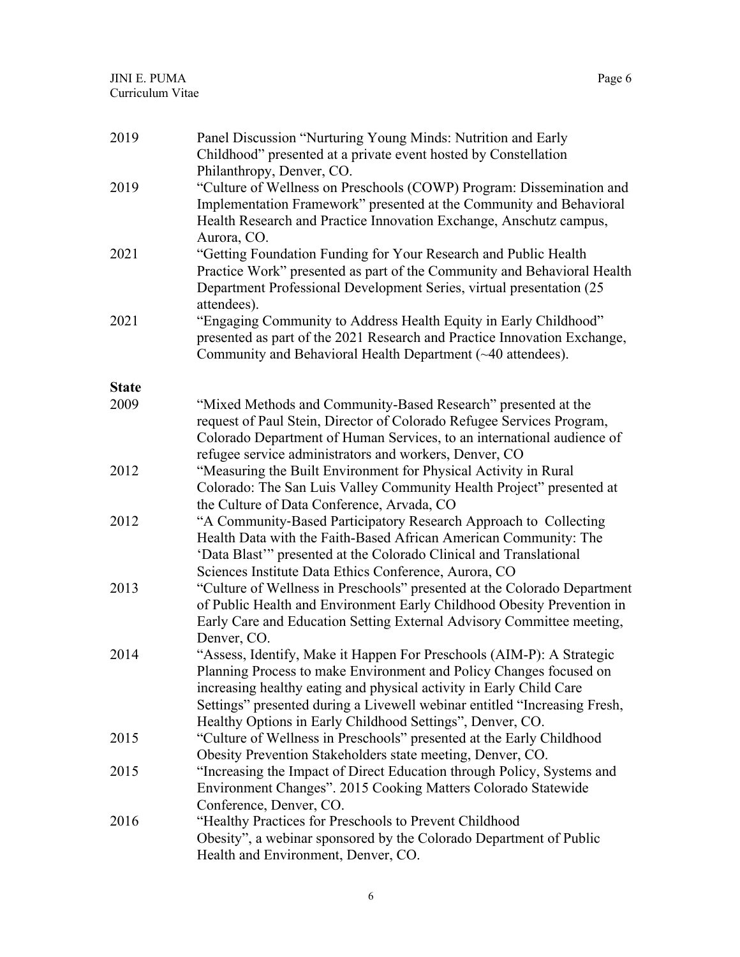| 2019         | Panel Discussion "Nurturing Young Minds: Nutrition and Early<br>Childhood" presented at a private event hosted by Constellation                                                                                                                                                                                                                              |
|--------------|--------------------------------------------------------------------------------------------------------------------------------------------------------------------------------------------------------------------------------------------------------------------------------------------------------------------------------------------------------------|
| 2019         | Philanthropy, Denver, CO.<br>"Culture of Wellness on Preschools (COWP) Program: Dissemination and<br>Implementation Framework" presented at the Community and Behavioral<br>Health Research and Practice Innovation Exchange, Anschutz campus,<br>Aurora, CO.                                                                                                |
| 2021         | "Getting Foundation Funding for Your Research and Public Health<br>Practice Work" presented as part of the Community and Behavioral Health<br>Department Professional Development Series, virtual presentation (25<br>attendees).                                                                                                                            |
| 2021         | "Engaging Community to Address Health Equity in Early Childhood"<br>presented as part of the 2021 Research and Practice Innovation Exchange,<br>Community and Behavioral Health Department (~40 attendees).                                                                                                                                                  |
| <b>State</b> |                                                                                                                                                                                                                                                                                                                                                              |
| 2009         | "Mixed Methods and Community-Based Research" presented at the<br>request of Paul Stein, Director of Colorado Refugee Services Program,<br>Colorado Department of Human Services, to an international audience of<br>refugee service administrators and workers, Denver, CO                                                                                   |
| 2012         | "Measuring the Built Environment for Physical Activity in Rural<br>Colorado: The San Luis Valley Community Health Project" presented at<br>the Culture of Data Conference, Arvada, CO                                                                                                                                                                        |
| 2012         | "A Community-Based Participatory Research Approach to Collecting<br>Health Data with the Faith-Based African American Community: The<br>'Data Blast'" presented at the Colorado Clinical and Translational<br>Sciences Institute Data Ethics Conference, Aurora, CO                                                                                          |
| 2013         | "Culture of Wellness in Preschools" presented at the Colorado Department<br>of Public Health and Environment Early Childhood Obesity Prevention in<br>Early Care and Education Setting External Advisory Committee meeting,<br>Denver, CO.                                                                                                                   |
| 2014         | "Assess, Identify, Make it Happen For Preschools (AIM-P): A Strategic<br>Planning Process to make Environment and Policy Changes focused on<br>increasing healthy eating and physical activity in Early Child Care<br>Settings" presented during a Livewell webinar entitled "Increasing Fresh,<br>Healthy Options in Early Childhood Settings", Denver, CO. |
| 2015         | "Culture of Wellness in Preschools" presented at the Early Childhood<br>Obesity Prevention Stakeholders state meeting, Denver, CO.                                                                                                                                                                                                                           |
| 2015         | "Increasing the Impact of Direct Education through Policy, Systems and<br>Environment Changes". 2015 Cooking Matters Colorado Statewide<br>Conference, Denver, CO.                                                                                                                                                                                           |
| 2016         | "Healthy Practices for Preschools to Prevent Childhood<br>Obesity", a webinar sponsored by the Colorado Department of Public<br>Health and Environment, Denver, CO.                                                                                                                                                                                          |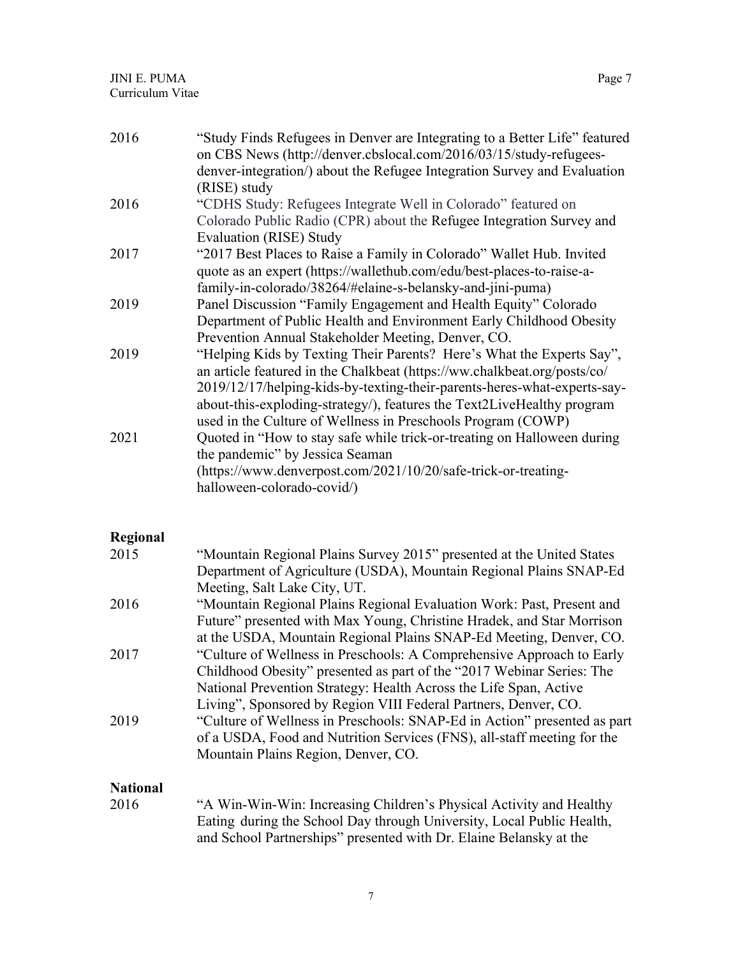| 2016 | "Study Finds Refugees in Denver are Integrating to a Better Life" featured<br>on CBS News (http://denver.cbslocal.com/2016/03/15/study-refugees- |
|------|--------------------------------------------------------------------------------------------------------------------------------------------------|
|      | denver-integration/) about the Refugee Integration Survey and Evaluation                                                                         |
|      | (RISE) study                                                                                                                                     |
| 2016 | "CDHS Study: Refugees Integrate Well in Colorado" featured on                                                                                    |
|      | Colorado Public Radio (CPR) about the Refugee Integration Survey and                                                                             |
|      | Evaluation (RISE) Study                                                                                                                          |
| 2017 | "2017 Best Places to Raise a Family in Colorado" Wallet Hub. Invited                                                                             |
|      | quote as an expert (https://wallethub.com/edu/best-places-to-raise-a-                                                                            |
|      | family-in-colorado/38264/#elaine-s-belansky-and-jini-puma)                                                                                       |
| 2019 | Panel Discussion "Family Engagement and Health Equity" Colorado                                                                                  |
|      | Department of Public Health and Environment Early Childhood Obesity                                                                              |
|      | Prevention Annual Stakeholder Meeting, Denver, CO.                                                                                               |
| 2019 | "Helping Kids by Texting Their Parents? Here's What the Experts Say",                                                                            |
|      | an article featured in the Chalkbeat (https://ww.chalkbeat.org/posts/co/                                                                         |
|      | 2019/12/17/helping-kids-by-texting-their-parents-heres-what-experts-say-                                                                         |
|      | about-this-exploding-strategy/), features the Text2LiveHealthy program                                                                           |
|      | used in the Culture of Wellness in Preschools Program (COWP)                                                                                     |
| 2021 | Quoted in "How to stay safe while trick-or-treating on Halloween during                                                                          |
|      | the pandemic" by Jessica Seaman                                                                                                                  |
|      | (https://www.denverpost.com/2021/10/20/safe-trick-or-treating-                                                                                   |
|      | halloween-colorado-covid/)                                                                                                                       |
|      |                                                                                                                                                  |

# **Regional**

| "Mountain Regional Plains Survey 2015" presented at the United States    |
|--------------------------------------------------------------------------|
| Department of Agriculture (USDA), Mountain Regional Plains SNAP-Ed       |
| Meeting, Salt Lake City, UT.                                             |
| "Mountain Regional Plains Regional Evaluation Work: Past, Present and    |
| Future" presented with Max Young, Christine Hradek, and Star Morrison    |
| at the USDA, Mountain Regional Plains SNAP-Ed Meeting, Denver, CO.       |
| "Culture of Wellness in Preschools: A Comprehensive Approach to Early    |
| Childhood Obesity" presented as part of the "2017 Webinar Series: The    |
| National Prevention Strategy: Health Across the Life Span, Active        |
| Living", Sponsored by Region VIII Federal Partners, Denver, CO.          |
| "Culture of Wellness in Preschools: SNAP-Ed in Action" presented as part |
| of a USDA, Food and Nutrition Services (FNS), all-staff meeting for the  |
| Mountain Plains Region, Denver, CO.                                      |
|                                                                          |
|                                                                          |

2016 "A Win-Win-Win: Increasing Children's Physical Activity and Healthy Eating during the School Day through University, Local Public Health, and School Partnerships" presented with Dr. Elaine Belansky at the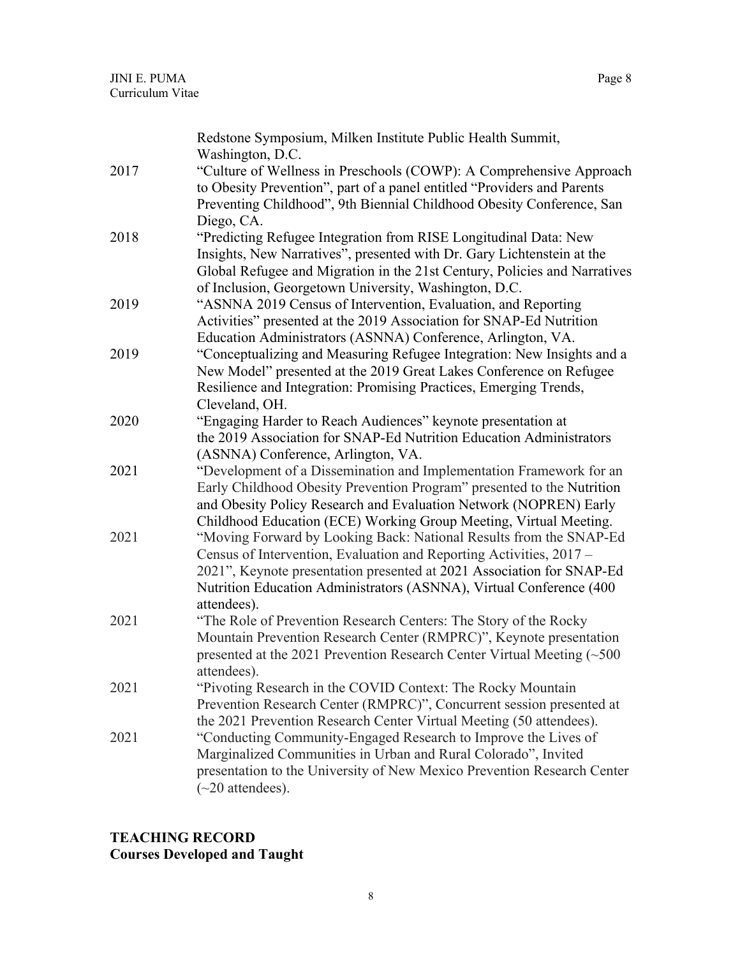|      | Redstone Symposium, Milken Institute Public Health Summit,                                                                                   |
|------|----------------------------------------------------------------------------------------------------------------------------------------------|
| 2017 | Washington, D.C.<br>"Culture of Wellness in Preschools (COWP): A Comprehensive Approach                                                      |
|      | to Obesity Prevention", part of a panel entitled "Providers and Parents                                                                      |
|      | Preventing Childhood", 9th Biennial Childhood Obesity Conference, San                                                                        |
|      | Diego, CA.                                                                                                                                   |
| 2018 | "Predicting Refugee Integration from RISE Longitudinal Data: New                                                                             |
|      | Insights, New Narratives", presented with Dr. Gary Lichtenstein at the                                                                       |
|      | Global Refugee and Migration in the 21st Century, Policies and Narratives                                                                    |
|      | of Inclusion, Georgetown University, Washington, D.C.                                                                                        |
| 2019 | "ASNNA 2019 Census of Intervention, Evaluation, and Reporting                                                                                |
|      | Activities" presented at the 2019 Association for SNAP-Ed Nutrition                                                                          |
|      | Education Administrators (ASNNA) Conference, Arlington, VA.                                                                                  |
| 2019 | "Conceptualizing and Measuring Refugee Integration: New Insights and a                                                                       |
|      | New Model" presented at the 2019 Great Lakes Conference on Refugee                                                                           |
|      | Resilience and Integration: Promising Practices, Emerging Trends,                                                                            |
|      | Cleveland, OH.                                                                                                                               |
| 2020 | "Engaging Harder to Reach Audiences" keynote presentation at                                                                                 |
|      | the 2019 Association for SNAP-Ed Nutrition Education Administrators                                                                          |
|      | (ASNNA) Conference, Arlington, VA.                                                                                                           |
| 2021 | "Development of a Dissemination and Implementation Framework for an                                                                          |
|      | Early Childhood Obesity Prevention Program" presented to the Nutrition                                                                       |
|      | and Obesity Policy Research and Evaluation Network (NOPREN) Early                                                                            |
|      | Childhood Education (ECE) Working Group Meeting, Virtual Meeting.                                                                            |
| 2021 | "Moving Forward by Looking Back: National Results from the SNAP-Ed                                                                           |
|      | Census of Intervention, Evaluation and Reporting Activities, 2017 -                                                                          |
|      | 2021", Keynote presentation presented at 2021 Association for SNAP-Ed<br>Nutrition Education Administrators (ASNNA), Virtual Conference (400 |
|      | attendees).                                                                                                                                  |
| 2021 | "The Role of Prevention Research Centers: The Story of the Rocky                                                                             |
|      | Mountain Prevention Research Center (RMPRC)", Keynote presentation                                                                           |
|      | presented at the 2021 Prevention Research Center Virtual Meeting $(\sim 500$                                                                 |
|      | attendees).                                                                                                                                  |
| 2021 | "Pivoting Research in the COVID Context: The Rocky Mountain                                                                                  |
|      | Prevention Research Center (RMPRC)", Concurrent session presented at                                                                         |
|      | the 2021 Prevention Research Center Virtual Meeting (50 attendees).                                                                          |
| 2021 | "Conducting Community-Engaged Research to Improve the Lives of                                                                               |
|      | Marginalized Communities in Urban and Rural Colorado", Invited                                                                               |
|      | presentation to the University of New Mexico Prevention Research Center                                                                      |
|      | $(\sim20$ attendees).                                                                                                                        |

# **TEACHING RECORD Courses Developed and Taught**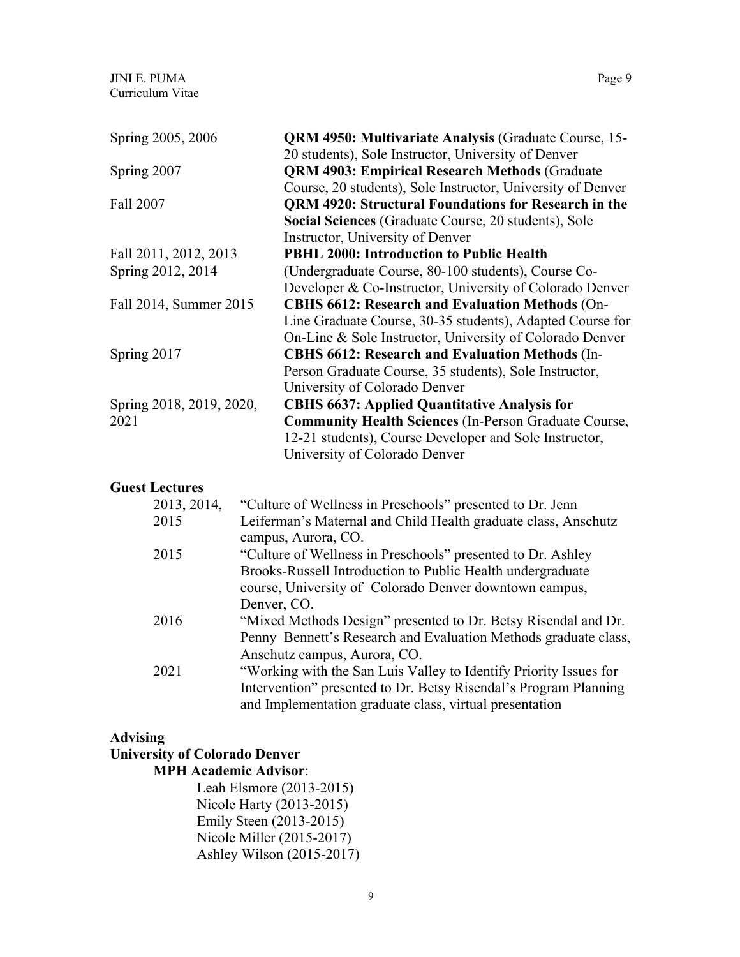#### **Guest Lectures**

| "Culture of Wellness in Preschools" presented to Dr. Jenn         |
|-------------------------------------------------------------------|
| Leiferman's Maternal and Child Health graduate class, Anschutz    |
| campus, Aurora, CO.                                               |
| "Culture of Wellness in Preschools" presented to Dr. Ashley       |
| Brooks-Russell Introduction to Public Health undergraduate        |
| course, University of Colorado Denver downtown campus,            |
| Denver, CO.                                                       |
| "Mixed Methods Design" presented to Dr. Betsy Risendal and Dr.    |
| Penny Bennett's Research and Evaluation Methods graduate class,   |
| Anschutz campus, Aurora, CO.                                      |
| "Working with the San Luis Valley to Identify Priority Issues for |
| Intervention" presented to Dr. Betsy Risendal's Program Planning  |
| and Implementation graduate class, virtual presentation           |
|                                                                   |

# **Advising**

#### **University of Colorado Denver**

#### **MPH Academic Advisor**:

Leah Elsmore (2013-2015) Nicole Harty (2013-2015) Emily Steen (2013-2015) Nicole Miller (2015-2017) Ashley Wilson (2015-2017)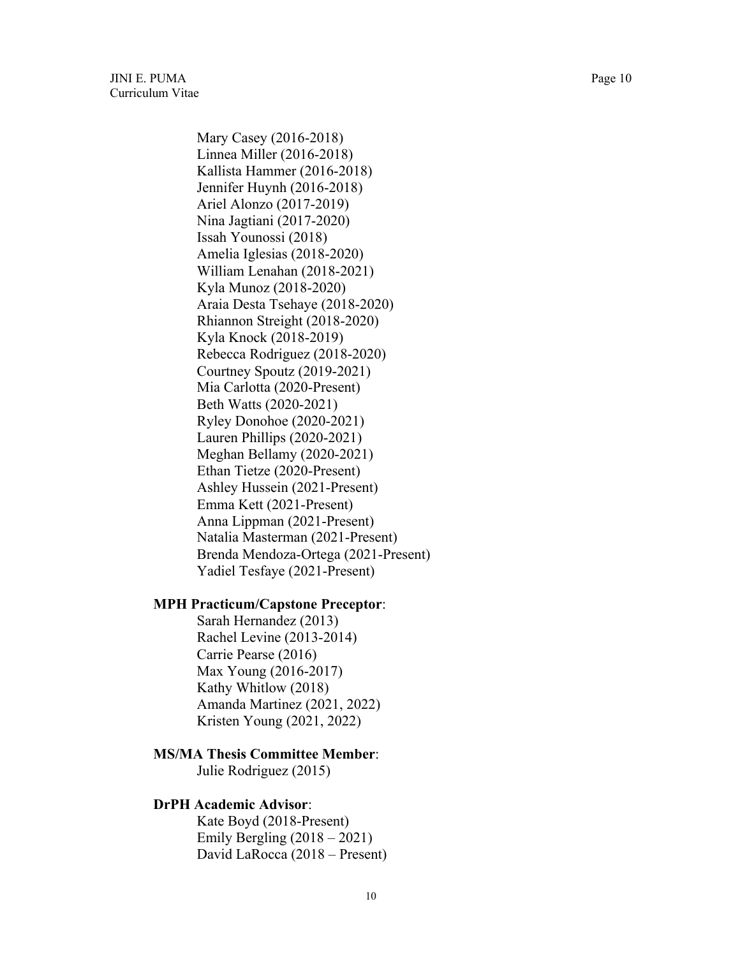JINI E. PUMA Page 10 Curriculum Vitae

> Mary Casey (2016-2018) Linnea Miller (2016-2018) Kallista Hammer (2016-2018) Jennifer Huynh (2016-2018) Ariel Alonzo (2017-2019) Nina Jagtiani (2017-2020) Issah Younossi (2018) Amelia Iglesias (2018-2020) William Lenahan (2018-2021) Kyla Munoz (2018-2020) Araia Desta Tsehaye (2018-2020) Rhiannon Streight (2018-2020) Kyla Knock (2018-2019) Rebecca Rodriguez (2018-2020) Courtney Spoutz (2019-2021) Mia Carlotta (2020-Present) Beth Watts (2020-2021) Ryley Donohoe (2020-2021) Lauren Phillips (2020-2021) Meghan Bellamy (2020-2021) Ethan Tietze (2020-Present) Ashley Hussein (2021-Present) Emma Kett (2021-Present) Anna Lippman (2021-Present) Natalia Masterman (2021-Present) Brenda Mendoza-Ortega (2021-Present) Yadiel Tesfaye (2021-Present)

#### **MPH Practicum/Capstone Preceptor**:

Sarah Hernandez (2013) Rachel Levine (2013-2014) Carrie Pearse (2016) Max Young (2016-2017) Kathy Whitlow (2018) Amanda Martinez (2021, 2022) Kristen Young (2021, 2022)

#### **MS/MA Thesis Committee Member**:

Julie Rodriguez (2015)

#### **DrPH Academic Advisor**:

Kate Boyd (2018-Present) Emily Bergling (2018 – 2021) David LaRocca (2018 – Present)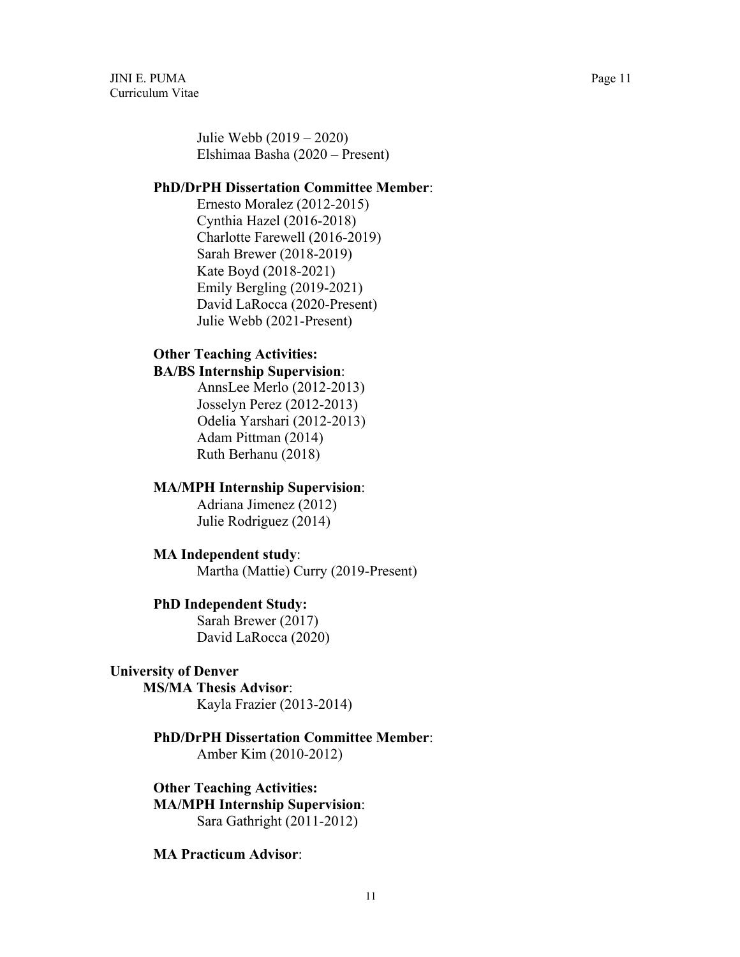Curriculum Vitae

Julie Webb (2019 – 2020) Elshimaa Basha (2020 – Present)

#### **PhD/DrPH Dissertation Committee Member**:

Ernesto Moralez (2012-2015) Cynthia Hazel (2016-2018) Charlotte Farewell (2016-2019) Sarah Brewer (2018-2019) Kate Boyd (2018-2021) Emily Bergling (2019-2021) David LaRocca (2020-Present) Julie Webb (2021-Present)

#### **Other Teaching Activities: BA/BS Internship Supervision**:

AnnsLee Merlo (2012-2013) Josselyn Perez (2012-2013) Odelia Yarshari (2012-2013) Adam Pittman (2014) Ruth Berhanu (2018)

#### **MA/MPH Internship Supervision**:

Adriana Jimenez (2012) Julie Rodriguez (2014)

#### **MA Independent study**:

Martha (Mattie) Curry (2019-Present)

#### **PhD Independent Study:**

Sarah Brewer (2017) David LaRocca (2020)

#### **University of Denver**

**MS/MA Thesis Advisor**:

Kayla Frazier (2013-2014)

### **PhD/DrPH Dissertation Committee Member**:

Amber Kim (2010-2012)

**Other Teaching Activities: MA/MPH Internship Supervision**: Sara Gathright (2011-2012)

#### **MA Practicum Advisor**: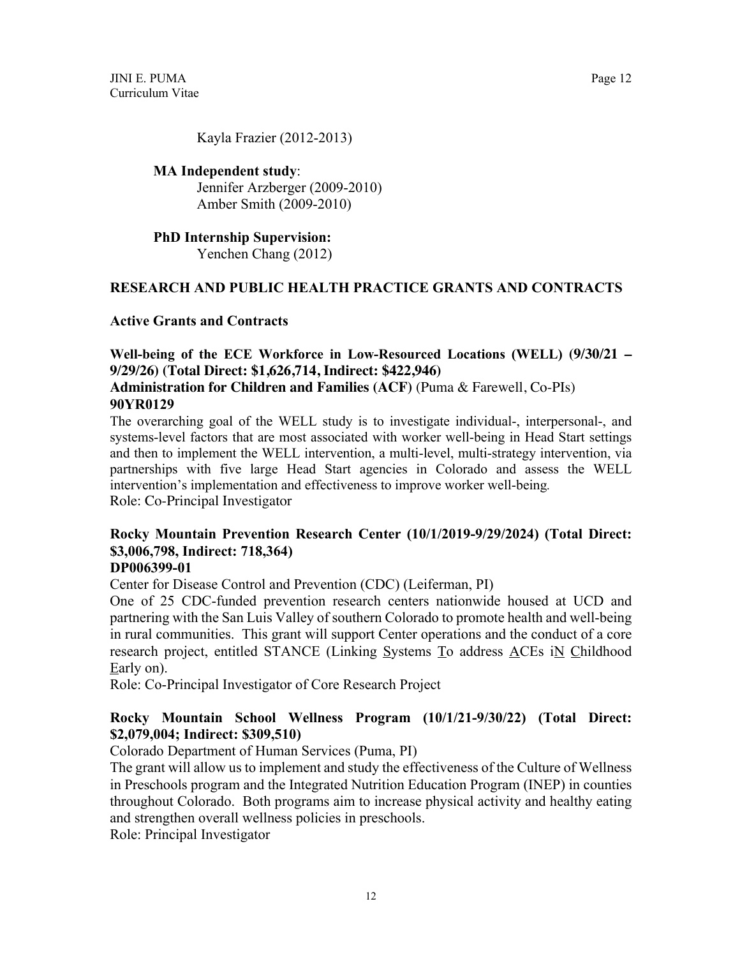Kayla Frazier (2012-2013)

### **MA Independent study**:

Jennifer Arzberger (2009-2010) Amber Smith (2009-2010)

# **PhD Internship Supervision:**

Yenchen Chang (2012)

# **RESEARCH AND PUBLIC HEALTH PRACTICE GRANTS AND CONTRACTS**

# **Active Grants and Contracts**

### **Well-being of the ECE Workforce in Low-Resourced Locations (WELL) (9/30/21 – 9/29/26) (Total Direct: \$1,626,714, Indirect: \$422,946)**

# **Administration for Children and Families (ACF)** (Puma & Farewell, Co-PIs) **90YR0129**

The overarching goal of the WELL study is to investigate individual-, interpersonal-, and systems-level factors that are most associated with worker well-being in Head Start settings and then to implement the WELL intervention, a multi-level, multi-strategy intervention, via partnerships with five large Head Start agencies in Colorado and assess the WELL intervention's implementation and effectiveness to improve worker well-being*.*  Role: Co-Principal Investigator

# **Rocky Mountain Prevention Research Center (10/1/2019-9/29/2024) (Total Direct: \$3,006,798, Indirect: 718,364)**

# **DP006399-01**

Center for Disease Control and Prevention (CDC) (Leiferman, PI)

One of 25 CDC-funded prevention research centers nationwide housed at UCD and partnering with the San Luis Valley of southern Colorado to promote health and well-being in rural communities. This grant will support Center operations and the conduct of a core research project, entitled STANCE (Linking Systems To address ACEs iN Childhood Early on).

Role: Co-Principal Investigator of Core Research Project

# **Rocky Mountain School Wellness Program (10/1/21-9/30/22) (Total Direct: \$2,079,004; Indirect: \$309,510)**

Colorado Department of Human Services (Puma, PI)

The grant will allow us to implement and study the effectiveness of the Culture of Wellness in Preschools program and the Integrated Nutrition Education Program (INEP) in counties throughout Colorado. Both programs aim to increase physical activity and healthy eating and strengthen overall wellness policies in preschools.

Role: Principal Investigator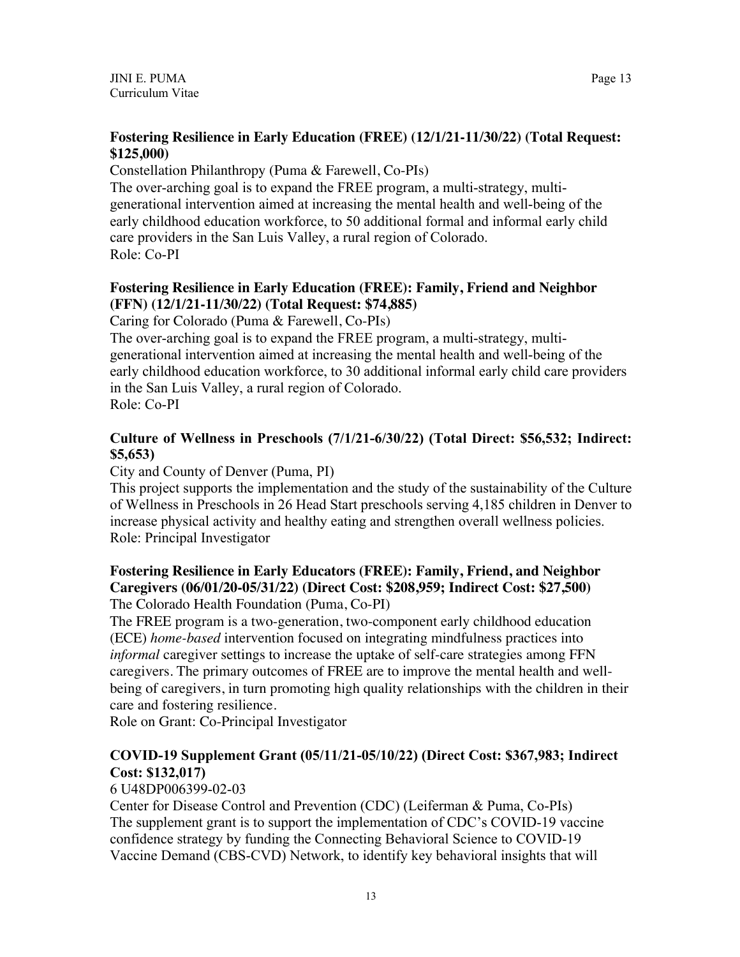### **Fostering Resilience in Early Education (FREE) (12/1/21-11/30/22) (Total Request: \$125,000)**

Constellation Philanthropy (Puma & Farewell, Co-PIs)

The over-arching goal is to expand the FREE program, a multi-strategy, multigenerational intervention aimed at increasing the mental health and well-being of the early childhood education workforce, to 50 additional formal and informal early child care providers in the San Luis Valley, a rural region of Colorado. Role: Co-PI

### **Fostering Resilience in Early Education (FREE): Family, Friend and Neighbor (FFN) (12/1/21-11/30/22) (Total Request: \$74,885)**

Caring for Colorado (Puma & Farewell, Co-PIs)

The over-arching goal is to expand the FREE program, a multi-strategy, multigenerational intervention aimed at increasing the mental health and well-being of the early childhood education workforce, to 30 additional informal early child care providers in the San Luis Valley, a rural region of Colorado. Role: Co-PI

### **Culture of Wellness in Preschools (7/1/21-6/30/22) (Total Direct: \$56,532; Indirect: \$5,653)**

City and County of Denver (Puma, PI)

This project supports the implementation and the study of the sustainability of the Culture of Wellness in Preschools in 26 Head Start preschools serving 4,185 children in Denver to increase physical activity and healthy eating and strengthen overall wellness policies. Role: Principal Investigator

# **Fostering Resilience in Early Educators (FREE): Family, Friend, and Neighbor Caregivers (06/01/20-05/31/22) (Direct Cost: \$208,959; Indirect Cost: \$27,500)**

The Colorado Health Foundation (Puma, Co-PI)

The FREE program is a two-generation, two-component early childhood education (ECE) *home-based* intervention focused on integrating mindfulness practices into *informal* caregiver settings to increase the uptake of self-care strategies among FFN caregivers. The primary outcomes of FREE are to improve the mental health and wellbeing of caregivers, in turn promoting high quality relationships with the children in their care and fostering resilience.

Role on Grant: Co-Principal Investigator

# **COVID-19 Supplement Grant (05/11/21-05/10/22) (Direct Cost: \$367,983; Indirect Cost: \$132,017)**

# 6 U48DP006399-02-03

Center for Disease Control and Prevention (CDC) (Leiferman & Puma, Co-PIs) The supplement grant is to support the implementation of CDC's COVID-19 vaccine confidence strategy by funding the Connecting Behavioral Science to COVID-19 Vaccine Demand (CBS-CVD) Network, to identify key behavioral insights that will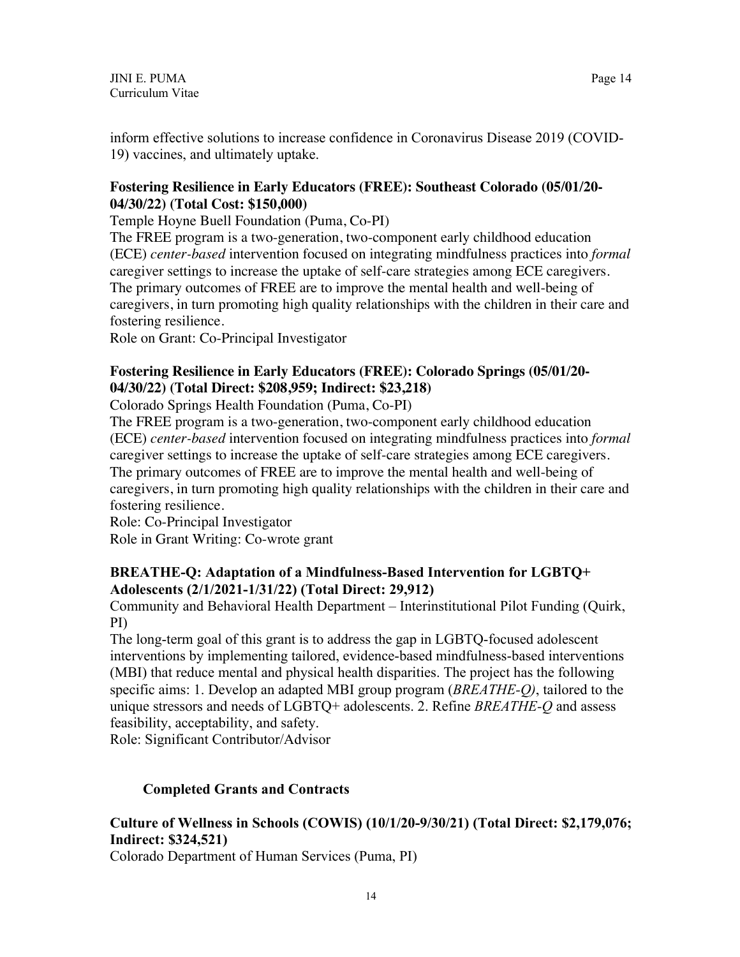inform effective solutions to increase confidence in Coronavirus Disease 2019 (COVID-19) vaccines, and ultimately uptake.

### **Fostering Resilience in Early Educators (FREE): Southeast Colorado (05/01/20- 04/30/22) (Total Cost: \$150,000)**

Temple Hoyne Buell Foundation (Puma, Co-PI)

The FREE program is a two-generation, two-component early childhood education (ECE) *center-based* intervention focused on integrating mindfulness practices into *formal* caregiver settings to increase the uptake of self-care strategies among ECE caregivers. The primary outcomes of FREE are to improve the mental health and well-being of caregivers, in turn promoting high quality relationships with the children in their care and fostering resilience.

Role on Grant: Co-Principal Investigator

# **Fostering Resilience in Early Educators (FREE): Colorado Springs (05/01/20- 04/30/22) (Total Direct: \$208,959; Indirect: \$23,218)**

Colorado Springs Health Foundation (Puma, Co-PI)

The FREE program is a two-generation, two-component early childhood education (ECE) *center-based* intervention focused on integrating mindfulness practices into *formal* caregiver settings to increase the uptake of self-care strategies among ECE caregivers. The primary outcomes of FREE are to improve the mental health and well-being of caregivers, in turn promoting high quality relationships with the children in their care and fostering resilience.

Role: Co-Principal Investigator Role in Grant Writing: Co-wrote grant

# **BREATHE-Q: Adaptation of a Mindfulness-Based Intervention for LGBTQ+ Adolescents (2/1/2021-1/31/22) (Total Direct: 29,912)**

Community and Behavioral Health Department – Interinstitutional Pilot Funding (Quirk, PI)

The long-term goal of this grant is to address the gap in LGBTQ-focused adolescent interventions by implementing tailored, evidence-based mindfulness-based interventions (MBI) that reduce mental and physical health disparities. The project has the following specific aims: 1. Develop an adapted MBI group program (*BREATHE-Q)*, tailored to the unique stressors and needs of LGBTQ+ adolescents. 2. Refine *BREATHE-Q* and assess feasibility, acceptability, and safety.

Role: Significant Contributor/Advisor

# **Completed Grants and Contracts**

# **Culture of Wellness in Schools (COWIS) (10/1/20-9/30/21) (Total Direct: \$2,179,076; Indirect: \$324,521)**

Colorado Department of Human Services (Puma, PI)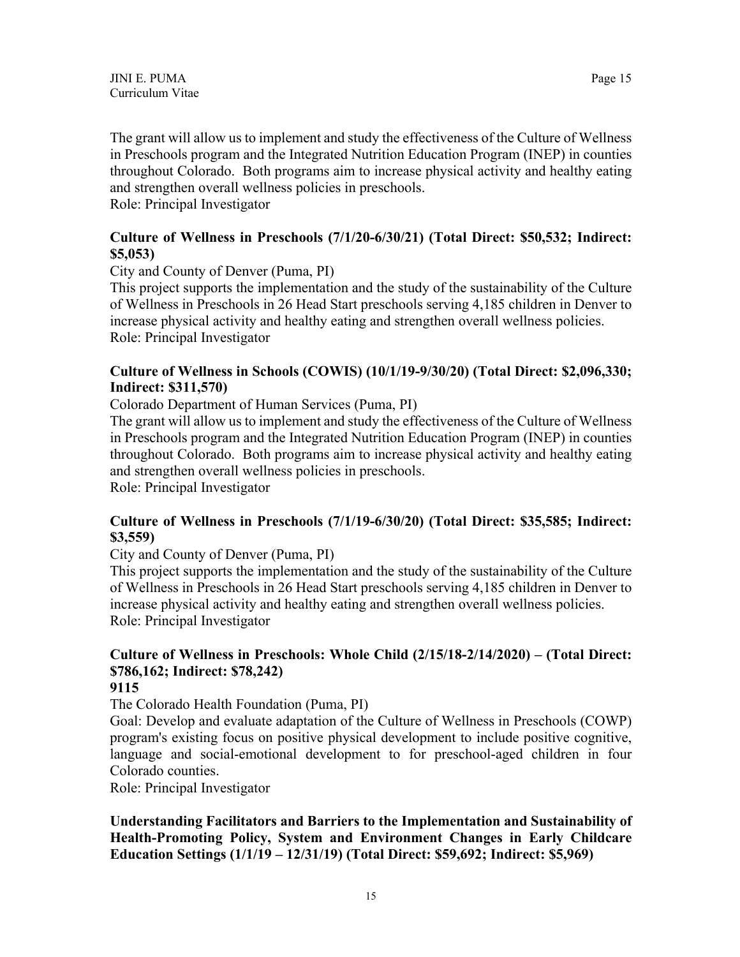The grant will allow us to implement and study the effectiveness of the Culture of Wellness in Preschools program and the Integrated Nutrition Education Program (INEP) in counties throughout Colorado. Both programs aim to increase physical activity and healthy eating and strengthen overall wellness policies in preschools.

Role: Principal Investigator

### **Culture of Wellness in Preschools (7/1/20-6/30/21) (Total Direct: \$50,532; Indirect: \$5,053)**

#### City and County of Denver (Puma, PI)

This project supports the implementation and the study of the sustainability of the Culture of Wellness in Preschools in 26 Head Start preschools serving 4,185 children in Denver to increase physical activity and healthy eating and strengthen overall wellness policies. Role: Principal Investigator

### **Culture of Wellness in Schools (COWIS) (10/1/19-9/30/20) (Total Direct: \$2,096,330; Indirect: \$311,570)**

Colorado Department of Human Services (Puma, PI)

The grant will allow us to implement and study the effectiveness of the Culture of Wellness in Preschools program and the Integrated Nutrition Education Program (INEP) in counties throughout Colorado. Both programs aim to increase physical activity and healthy eating and strengthen overall wellness policies in preschools.

Role: Principal Investigator

### **Culture of Wellness in Preschools (7/1/19-6/30/20) (Total Direct: \$35,585; Indirect: \$3,559)**

City and County of Denver (Puma, PI)

This project supports the implementation and the study of the sustainability of the Culture of Wellness in Preschools in 26 Head Start preschools serving 4,185 children in Denver to increase physical activity and healthy eating and strengthen overall wellness policies. Role: Principal Investigator

# **Culture of Wellness in Preschools: Whole Child (2/15/18-2/14/2020) – (Total Direct: \$786,162; Indirect: \$78,242)**

#### **9115**

The Colorado Health Foundation (Puma, PI)

Goal: Develop and evaluate adaptation of the Culture of Wellness in Preschools (COWP) program's existing focus on positive physical development to include positive cognitive, language and social-emotional development to for preschool-aged children in four Colorado counties.

Role: Principal Investigator

# **Understanding Facilitators and Barriers to the Implementation and Sustainability of Health-Promoting Policy, System and Environment Changes in Early Childcare Education Settings (1/1/19 – 12/31/19) (Total Direct: \$59,692; Indirect: \$5,969)**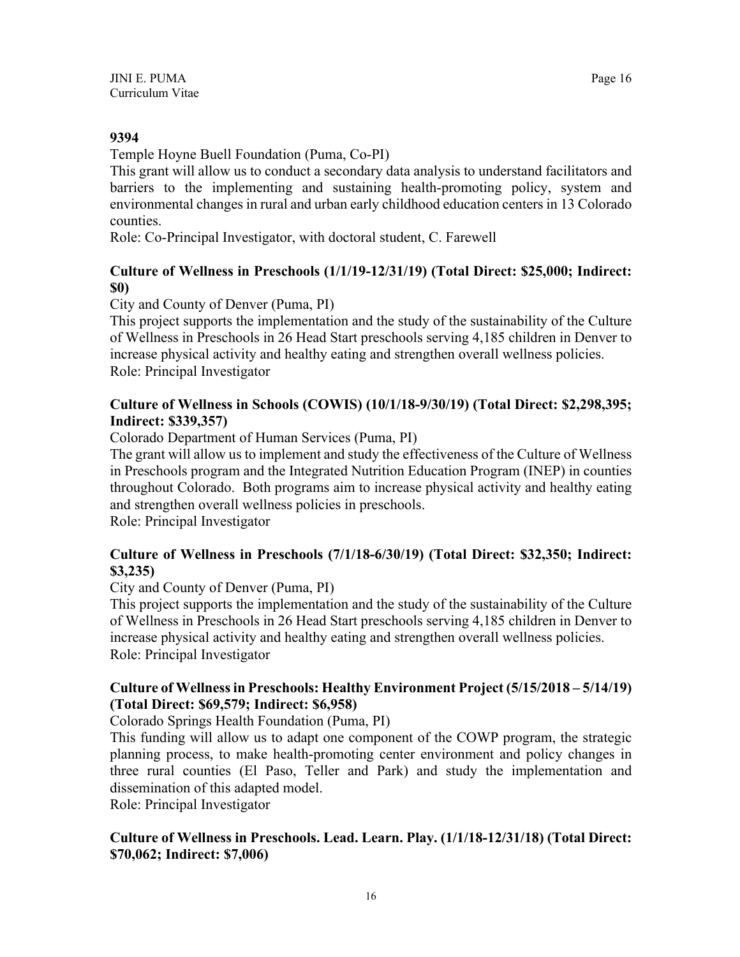#### **9394**

Temple Hoyne Buell Foundation (Puma, Co-PI)

This grant will allow us to conduct a secondary data analysis to understand facilitators and barriers to the implementing and sustaining health-promoting policy, system and environmental changes in rural and urban early childhood education centers in 13 Colorado counties.

Role: Co-Principal Investigator, with doctoral student, C. Farewell

# **Culture of Wellness in Preschools (1/1/19-12/31/19) (Total Direct: \$25,000; Indirect: \$0)**

# City and County of Denver (Puma, PI)

This project supports the implementation and the study of the sustainability of the Culture of Wellness in Preschools in 26 Head Start preschools serving 4,185 children in Denver to increase physical activity and healthy eating and strengthen overall wellness policies. Role: Principal Investigator

# **Culture of Wellness in Schools (COWIS) (10/1/18-9/30/19) (Total Direct: \$2,298,395; Indirect: \$339,357)**

Colorado Department of Human Services (Puma, PI)

The grant will allow us to implement and study the effectiveness of the Culture of Wellness in Preschools program and the Integrated Nutrition Education Program (INEP) in counties throughout Colorado. Both programs aim to increase physical activity and healthy eating and strengthen overall wellness policies in preschools.

Role: Principal Investigator

# **Culture of Wellness in Preschools (7/1/18-6/30/19) (Total Direct: \$32,350; Indirect: \$3,235)**

# City and County of Denver (Puma, PI)

This project supports the implementation and the study of the sustainability of the Culture of Wellness in Preschools in 26 Head Start preschools serving 4,185 children in Denver to increase physical activity and healthy eating and strengthen overall wellness policies. Role: Principal Investigator

# **Culture of Wellness in Preschools: Healthy Environment Project (5/15/2018 – 5/14/19) (Total Direct: \$69,579; Indirect: \$6,958)**

Colorado Springs Health Foundation (Puma, PI)

This funding will allow us to adapt one component of the COWP program, the strategic planning process, to make health-promoting center environment and policy changes in three rural counties (El Paso, Teller and Park) and study the implementation and dissemination of this adapted model.

Role: Principal Investigator

# **Culture of Wellness in Preschools. Lead. Learn. Play. (1/1/18-12/31/18) (Total Direct: \$70,062; Indirect: \$7,006)**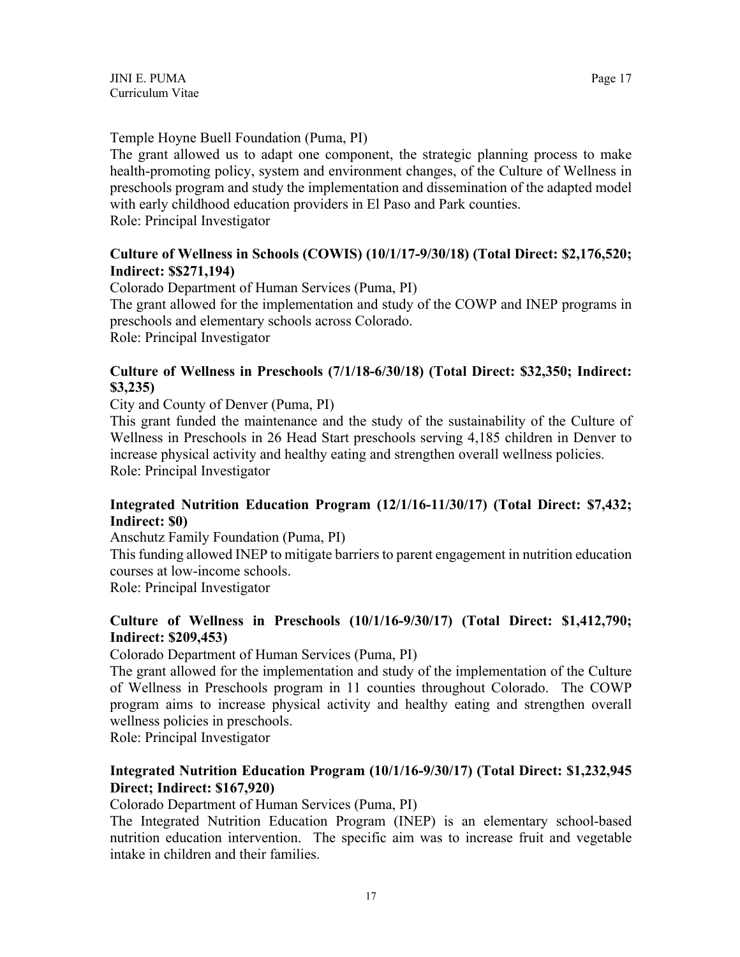Temple Hoyne Buell Foundation (Puma, PI)

The grant allowed us to adapt one component, the strategic planning process to make health-promoting policy, system and environment changes, of the Culture of Wellness in preschools program and study the implementation and dissemination of the adapted model with early childhood education providers in El Paso and Park counties. Role: Principal Investigator

# **Culture of Wellness in Schools (COWIS) (10/1/17-9/30/18) (Total Direct: \$2,176,520; Indirect: \$\$271,194)**

Colorado Department of Human Services (Puma, PI)

The grant allowed for the implementation and study of the COWP and INEP programs in preschools and elementary schools across Colorado.

Role: Principal Investigator

# **Culture of Wellness in Preschools (7/1/18-6/30/18) (Total Direct: \$32,350; Indirect: \$3,235)**

City and County of Denver (Puma, PI)

This grant funded the maintenance and the study of the sustainability of the Culture of Wellness in Preschools in 26 Head Start preschools serving 4,185 children in Denver to increase physical activity and healthy eating and strengthen overall wellness policies. Role: Principal Investigator

# **Integrated Nutrition Education Program (12/1/16-11/30/17) (Total Direct: \$7,432; Indirect: \$0)**

Anschutz Family Foundation (Puma, PI)

This funding allowed INEP to mitigate barriers to parent engagement in nutrition education courses at low-income schools.

Role: Principal Investigator

# **Culture of Wellness in Preschools (10/1/16-9/30/17) (Total Direct: \$1,412,790; Indirect: \$209,453)**

Colorado Department of Human Services (Puma, PI)

The grant allowed for the implementation and study of the implementation of the Culture of Wellness in Preschools program in 11 counties throughout Colorado. The COWP program aims to increase physical activity and healthy eating and strengthen overall wellness policies in preschools.

Role: Principal Investigator

# **Integrated Nutrition Education Program (10/1/16-9/30/17) (Total Direct: \$1,232,945 Direct; Indirect: \$167,920)**

Colorado Department of Human Services (Puma, PI)

The Integrated Nutrition Education Program (INEP) is an elementary school-based nutrition education intervention. The specific aim was to increase fruit and vegetable intake in children and their families.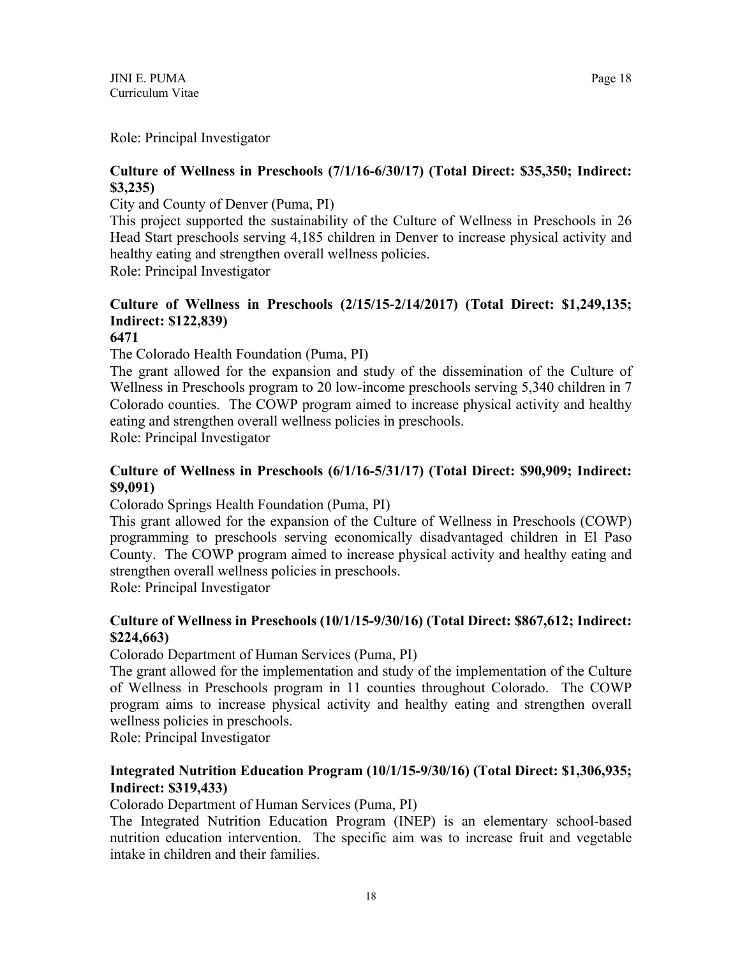Role: Principal Investigator

### **Culture of Wellness in Preschools (7/1/16-6/30/17) (Total Direct: \$35,350; Indirect: \$3,235)**

City and County of Denver (Puma, PI)

This project supported the sustainability of the Culture of Wellness in Preschools in 26 Head Start preschools serving 4,185 children in Denver to increase physical activity and healthy eating and strengthen overall wellness policies.

Role: Principal Investigator

# **Culture of Wellness in Preschools (2/15/15-2/14/2017) (Total Direct: \$1,249,135; Indirect: \$122,839)**

#### **6471**

The Colorado Health Foundation (Puma, PI)

The grant allowed for the expansion and study of the dissemination of the Culture of Wellness in Preschools program to 20 low-income preschools serving 5,340 children in 7 Colorado counties. The COWP program aimed to increase physical activity and healthy eating and strengthen overall wellness policies in preschools.

Role: Principal Investigator

### **Culture of Wellness in Preschools (6/1/16-5/31/17) (Total Direct: \$90,909; Indirect: \$9,091)**

Colorado Springs Health Foundation (Puma, PI)

This grant allowed for the expansion of the Culture of Wellness in Preschools (COWP) programming to preschools serving economically disadvantaged children in El Paso County. The COWP program aimed to increase physical activity and healthy eating and strengthen overall wellness policies in preschools.

Role: Principal Investigator

### **Culture of Wellness in Preschools (10/1/15-9/30/16) (Total Direct: \$867,612; Indirect: \$224,663)**

Colorado Department of Human Services (Puma, PI)

The grant allowed for the implementation and study of the implementation of the Culture of Wellness in Preschools program in 11 counties throughout Colorado. The COWP program aims to increase physical activity and healthy eating and strengthen overall wellness policies in preschools.

Role: Principal Investigator

# **Integrated Nutrition Education Program (10/1/15-9/30/16) (Total Direct: \$1,306,935; Indirect: \$319,433)**

Colorado Department of Human Services (Puma, PI)

The Integrated Nutrition Education Program (INEP) is an elementary school-based nutrition education intervention. The specific aim was to increase fruit and vegetable intake in children and their families.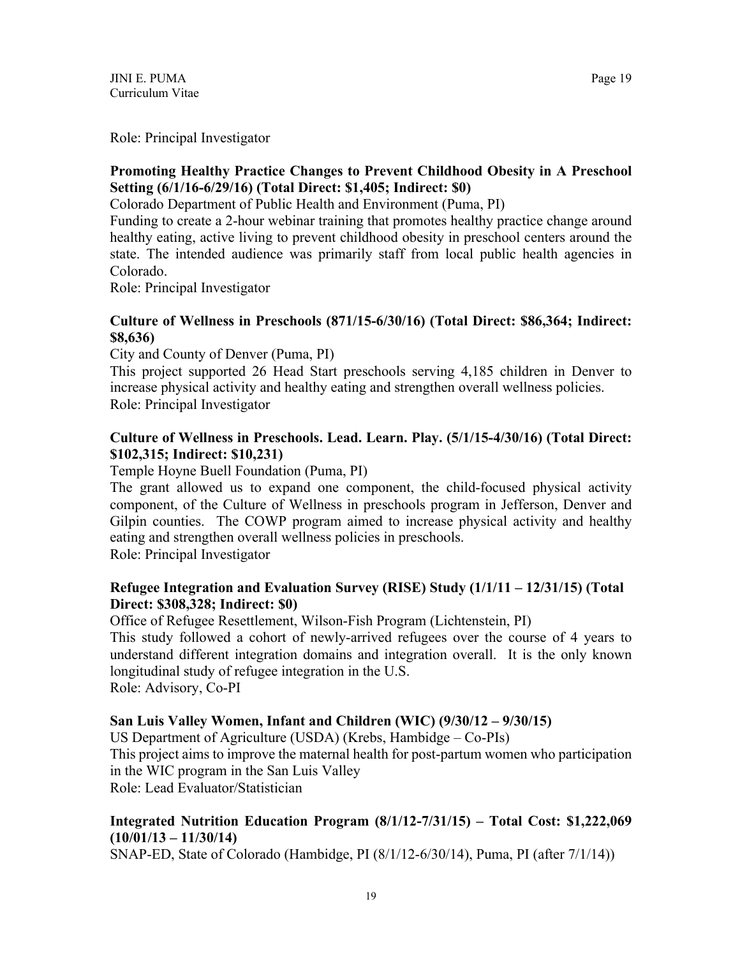Role: Principal Investigator

### **Promoting Healthy Practice Changes to Prevent Childhood Obesity in A Preschool Setting (6/1/16-6/29/16) (Total Direct: \$1,405; Indirect: \$0)**

Colorado Department of Public Health and Environment (Puma, PI)

Funding to create a 2-hour webinar training that promotes healthy practice change around healthy eating, active living to prevent childhood obesity in preschool centers around the state. The intended audience was primarily staff from local public health agencies in Colorado.

Role: Principal Investigator

### **Culture of Wellness in Preschools (871/15-6/30/16) (Total Direct: \$86,364; Indirect: \$8,636)**

City and County of Denver (Puma, PI)

This project supported 26 Head Start preschools serving 4,185 children in Denver to increase physical activity and healthy eating and strengthen overall wellness policies. Role: Principal Investigator

### **Culture of Wellness in Preschools. Lead. Learn. Play. (5/1/15-4/30/16) (Total Direct: \$102,315; Indirect: \$10,231)**

Temple Hoyne Buell Foundation (Puma, PI)

The grant allowed us to expand one component, the child-focused physical activity component, of the Culture of Wellness in preschools program in Jefferson, Denver and Gilpin counties. The COWP program aimed to increase physical activity and healthy eating and strengthen overall wellness policies in preschools.

Role: Principal Investigator

### **Refugee Integration and Evaluation Survey (RISE) Study (1/1/11 – 12/31/15) (Total Direct: \$308,328; Indirect: \$0)**

Office of Refugee Resettlement, Wilson-Fish Program (Lichtenstein, PI) This study followed a cohort of newly-arrived refugees over the course of 4 years to understand different integration domains and integration overall. It is the only known longitudinal study of refugee integration in the U.S. Role: Advisory, Co-PI

# **San Luis Valley Women, Infant and Children (WIC) (9/30/12 – 9/30/15)**

US Department of Agriculture (USDA) (Krebs, Hambidge – Co-PIs) This project aims to improve the maternal health for post-partum women who participation

in the WIC program in the San Luis Valley

Role: Lead Evaluator/Statistician

# **Integrated Nutrition Education Program (8/1/12-7/31/15) – Total Cost: \$1,222,069 (10/01/13 – 11/30/14)**

SNAP-ED, State of Colorado (Hambidge, PI (8/1/12-6/30/14), Puma, PI (after 7/1/14))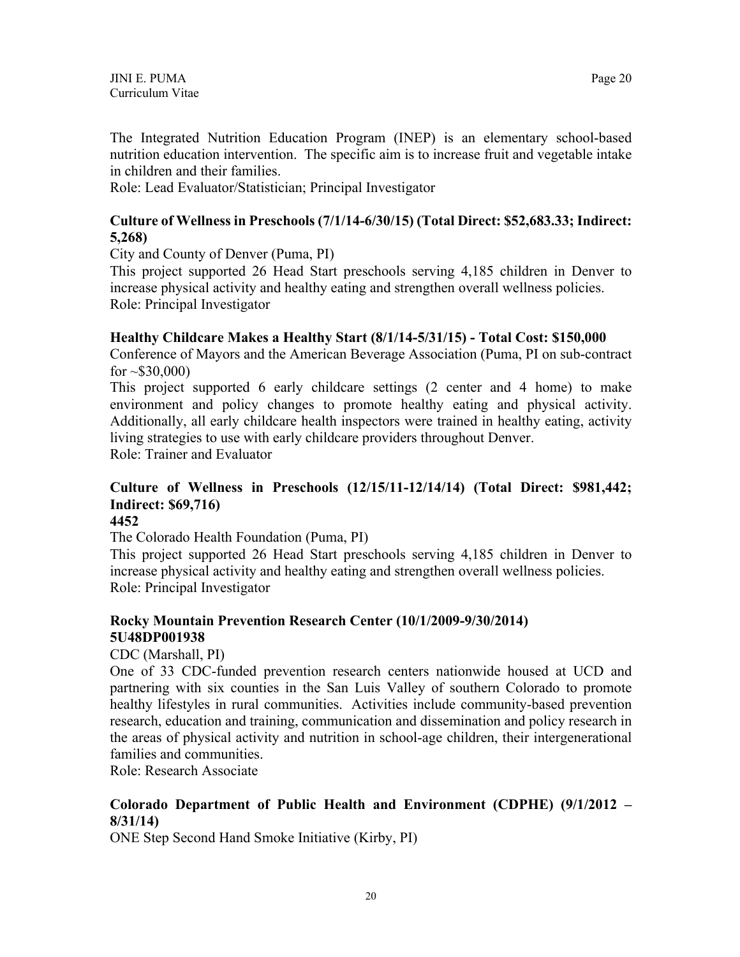The Integrated Nutrition Education Program (INEP) is an elementary school-based nutrition education intervention. The specific aim is to increase fruit and vegetable intake in children and their families.

Role: Lead Evaluator/Statistician; Principal Investigator

#### **Culture of Wellness in Preschools (7/1/14-6/30/15) (Total Direct: \$52,683.33; Indirect: 5,268)**

City and County of Denver (Puma, PI)

This project supported 26 Head Start preschools serving 4,185 children in Denver to increase physical activity and healthy eating and strengthen overall wellness policies. Role: Principal Investigator

#### **Healthy Childcare Makes a Healthy Start (8/1/14-5/31/15) - Total Cost: \$150,000**

Conference of Mayors and the American Beverage Association (Puma, PI on sub-contract for  $\sim$ \$30,000)

This project supported 6 early childcare settings (2 center and 4 home) to make environment and policy changes to promote healthy eating and physical activity. Additionally, all early childcare health inspectors were trained in healthy eating, activity living strategies to use with early childcare providers throughout Denver. Role: Trainer and Evaluator

# **Culture of Wellness in Preschools (12/15/11-12/14/14) (Total Direct: \$981,442; Indirect: \$69,716)**

**4452**

The Colorado Health Foundation (Puma, PI)

This project supported 26 Head Start preschools serving 4,185 children in Denver to increase physical activity and healthy eating and strengthen overall wellness policies. Role: Principal Investigator

# **Rocky Mountain Prevention Research Center (10/1/2009-9/30/2014) 5U48DP001938**

CDC (Marshall, PI)

One of 33 CDC-funded prevention research centers nationwide housed at UCD and partnering with six counties in the San Luis Valley of southern Colorado to promote healthy lifestyles in rural communities. Activities include community-based prevention research, education and training, communication and dissemination and policy research in the areas of physical activity and nutrition in school-age children, their intergenerational families and communities.

Role: Research Associate

# **Colorado Department of Public Health and Environment (CDPHE) (9/1/2012 – 8/31/14)**

ONE Step Second Hand Smoke Initiative (Kirby, PI)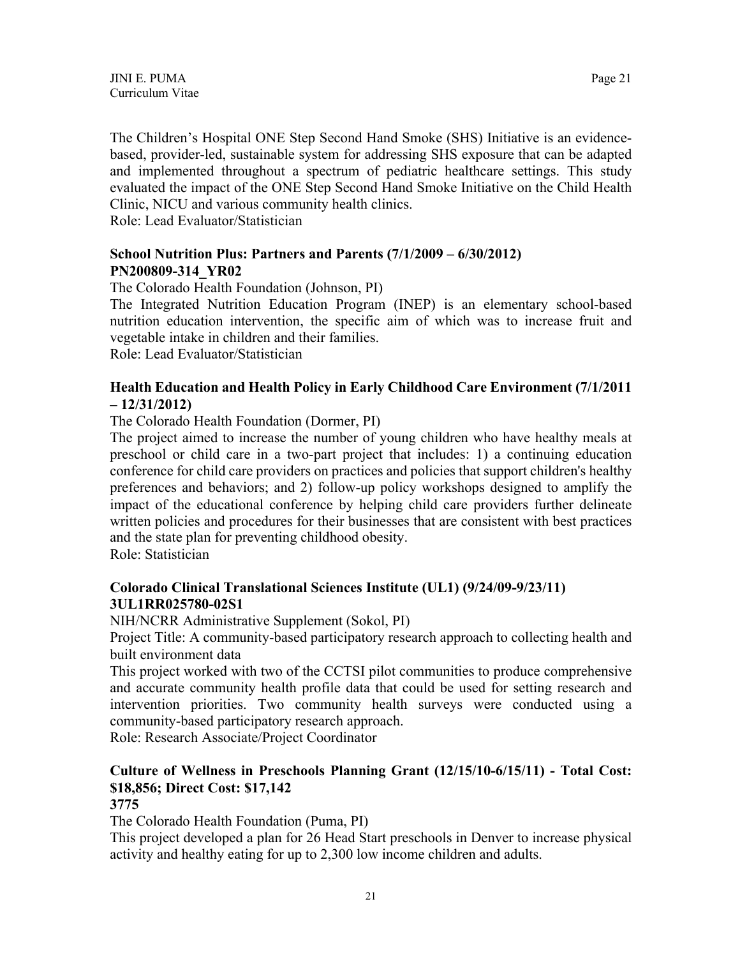The Children's Hospital ONE Step Second Hand Smoke (SHS) Initiative is an evidencebased, provider-led, sustainable system for addressing SHS exposure that can be adapted and implemented throughout a spectrum of pediatric healthcare settings. This study evaluated the impact of the ONE Step Second Hand Smoke Initiative on the Child Health Clinic, NICU and various community health clinics.

Role: Lead Evaluator/Statistician

#### **School Nutrition Plus: Partners and Parents (7/1/2009 – 6/30/2012) PN200809-314\_YR02**

The Colorado Health Foundation (Johnson, PI)

The Integrated Nutrition Education Program (INEP) is an elementary school-based nutrition education intervention, the specific aim of which was to increase fruit and vegetable intake in children and their families.

Role: Lead Evaluator/Statistician

#### **Health Education and Health Policy in Early Childhood Care Environment (7/1/2011 – 12/31/2012)**

The Colorado Health Foundation (Dormer, PI)

The project aimed to increase the number of young children who have healthy meals at preschool or child care in a two-part project that includes: 1) a continuing education conference for child care providers on practices and policies that support children's healthy preferences and behaviors; and 2) follow-up policy workshops designed to amplify the impact of the educational conference by helping child care providers further delineate written policies and procedures for their businesses that are consistent with best practices and the state plan for preventing childhood obesity.

Role: Statistician

#### **Colorado Clinical Translational Sciences Institute (UL1) (9/24/09-9/23/11) 3UL1RR025780-02S1**

NIH/NCRR Administrative Supplement (Sokol, PI)

Project Title: A community-based participatory research approach to collecting health and built environment data

This project worked with two of the CCTSI pilot communities to produce comprehensive and accurate community health profile data that could be used for setting research and intervention priorities. Two community health surveys were conducted using a community-based participatory research approach.

Role: Research Associate/Project Coordinator

# **Culture of Wellness in Preschools Planning Grant (12/15/10-6/15/11) - Total Cost: \$18,856; Direct Cost: \$17,142**

#### **3775**

The Colorado Health Foundation (Puma, PI)

This project developed a plan for 26 Head Start preschools in Denver to increase physical activity and healthy eating for up to 2,300 low income children and adults.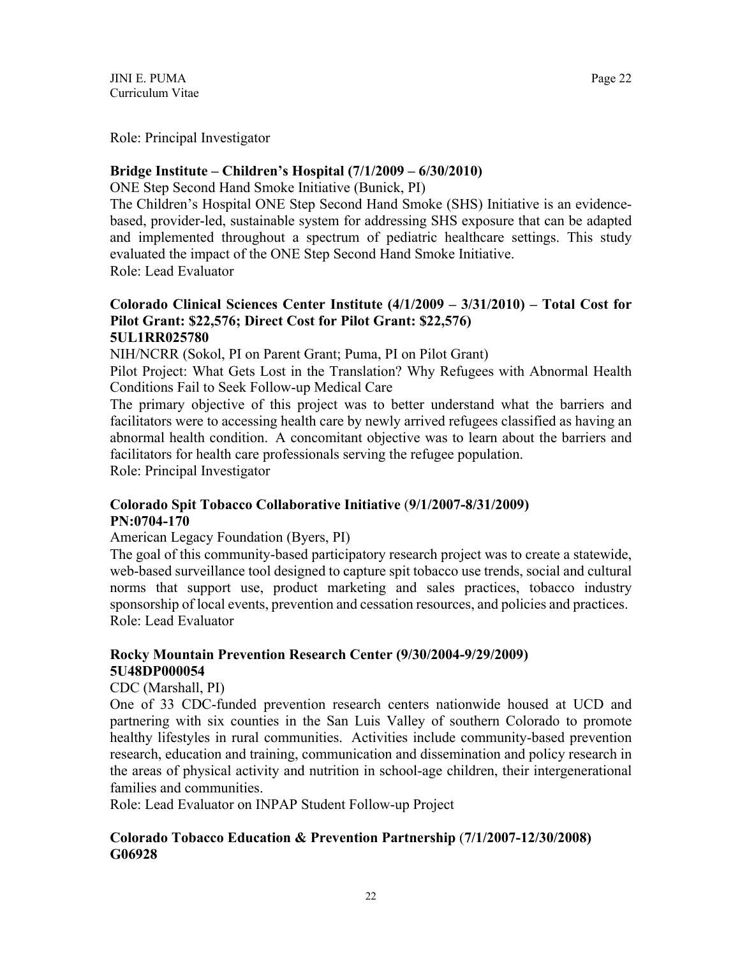Role: Principal Investigator

### **Bridge Institute – Children's Hospital (7/1/2009 – 6/30/2010)**

ONE Step Second Hand Smoke Initiative (Bunick, PI)

The Children's Hospital ONE Step Second Hand Smoke (SHS) Initiative is an evidencebased, provider-led, sustainable system for addressing SHS exposure that can be adapted and implemented throughout a spectrum of pediatric healthcare settings. This study evaluated the impact of the ONE Step Second Hand Smoke Initiative. Role: Lead Evaluator

#### **Colorado Clinical Sciences Center Institute (4/1/2009 – 3/31/2010) – Total Cost for Pilot Grant: \$22,576; Direct Cost for Pilot Grant: \$22,576) 5UL1RR025780**

NIH/NCRR (Sokol, PI on Parent Grant; Puma, PI on Pilot Grant)

Pilot Project: What Gets Lost in the Translation? Why Refugees with Abnormal Health Conditions Fail to Seek Follow-up Medical Care

The primary objective of this project was to better understand what the barriers and facilitators were to accessing health care by newly arrived refugees classified as having an abnormal health condition. A concomitant objective was to learn about the barriers and facilitators for health care professionals serving the refugee population.

Role: Principal Investigator

# **Colorado Spit Tobacco Collaborative Initiative** (**9/1/2007-8/31/2009) PN:0704-170**

# American Legacy Foundation (Byers, PI)

The goal of this community-based participatory research project was to create a statewide, web-based surveillance tool designed to capture spit tobacco use trends, social and cultural norms that support use, product marketing and sales practices, tobacco industry sponsorship of local events, prevention and cessation resources, and policies and practices. Role: Lead Evaluator

# **Rocky Mountain Prevention Research Center (9/30/2004-9/29/2009) 5U48DP000054**

CDC (Marshall, PI)

One of 33 CDC-funded prevention research centers nationwide housed at UCD and partnering with six counties in the San Luis Valley of southern Colorado to promote healthy lifestyles in rural communities. Activities include community-based prevention research, education and training, communication and dissemination and policy research in the areas of physical activity and nutrition in school-age children, their intergenerational families and communities.

Role: Lead Evaluator on INPAP Student Follow-up Project

# **Colorado Tobacco Education & Prevention Partnership** (**7/1/2007-12/30/2008) G06928**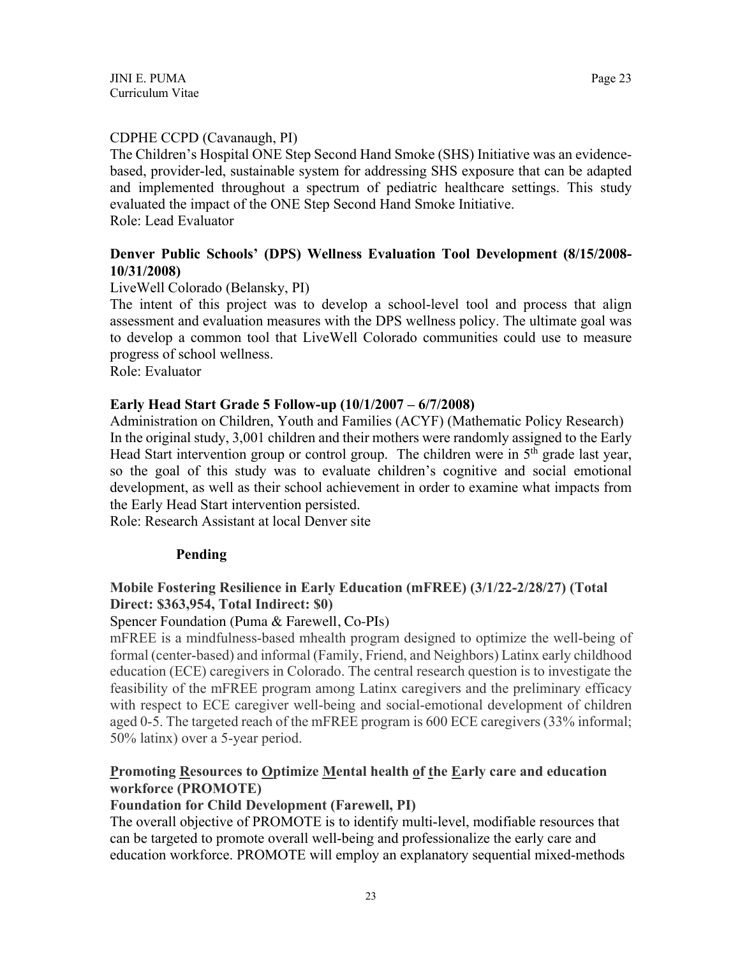#### CDPHE CCPD (Cavanaugh, PI)

The Children's Hospital ONE Step Second Hand Smoke (SHS) Initiative was an evidencebased, provider-led, sustainable system for addressing SHS exposure that can be adapted and implemented throughout a spectrum of pediatric healthcare settings. This study evaluated the impact of the ONE Step Second Hand Smoke Initiative. Role: Lead Evaluator

# **Denver Public Schools' (DPS) Wellness Evaluation Tool Development (8/15/2008- 10/31/2008)**

### LiveWell Colorado (Belansky, PI)

The intent of this project was to develop a school-level tool and process that align assessment and evaluation measures with the DPS wellness policy. The ultimate goal was to develop a common tool that LiveWell Colorado communities could use to measure progress of school wellness.

Role: Evaluator

# **Early Head Start Grade 5 Follow-up (10/1/2007 – 6/7/2008)**

Administration on Children, Youth and Families (ACYF) (Mathematic Policy Research) In the original study, 3,001 children and their mothers were randomly assigned to the Early Head Start intervention group or control group. The children were in  $5<sup>th</sup>$  grade last year, so the goal of this study was to evaluate children's cognitive and social emotional development, as well as their school achievement in order to examine what impacts from the Early Head Start intervention persisted.

Role: Research Assistant at local Denver site

#### **Pending**

# **Mobile Fostering Resilience in Early Education (mFREE) (3/1/22-2/28/27) (Total Direct: \$363,954, Total Indirect: \$0)**

Spencer Foundation (Puma & Farewell, Co-PIs)

mFREE is a mindfulness-based mhealth program designed to optimize the well-being of formal (center-based) and informal (Family, Friend, and Neighbors) Latinx early childhood education (ECE) caregivers in Colorado. The central research question is to investigate the feasibility of the mFREE program among Latinx caregivers and the preliminary efficacy with respect to ECE caregiver well-being and social-emotional development of children aged 0-5. The targeted reach of the mFREE program is 600 ECE caregivers (33% informal; 50% latinx) over a 5-year period.

# **Promoting Resources to Optimize Mental health of the Early care and education workforce (PROMOTE)**

# **Foundation for Child Development (Farewell, PI)**

The overall objective of PROMOTE is to identify multi-level, modifiable resources that can be targeted to promote overall well-being and professionalize the early care and education workforce. PROMOTE will employ an explanatory sequential mixed-methods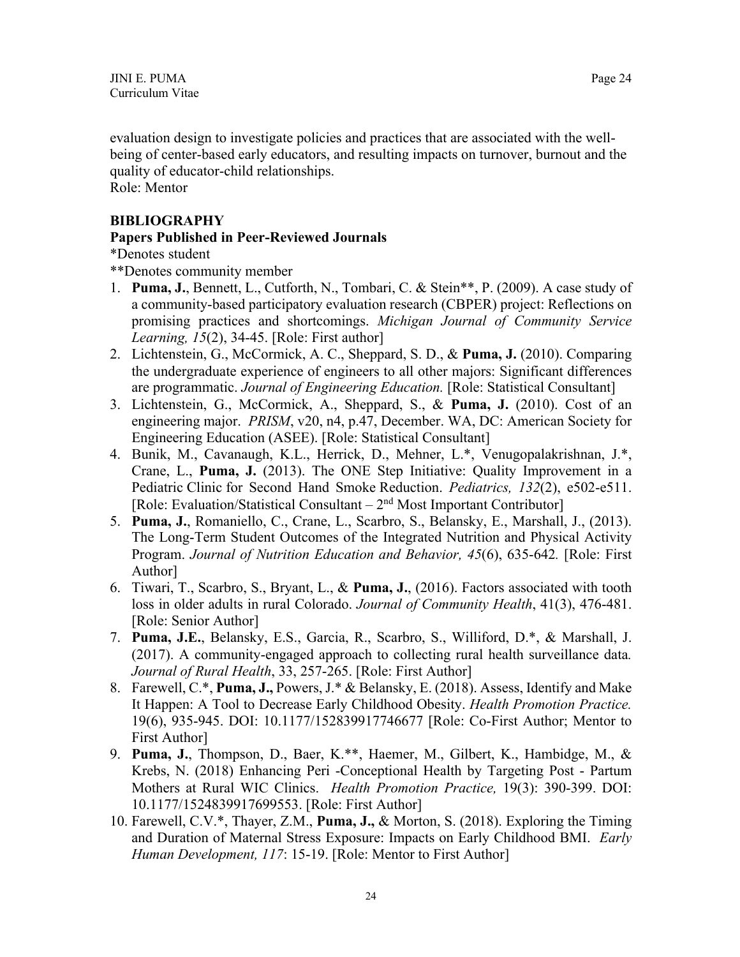evaluation design to investigate policies and practices that are associated with the wellbeing of center-based early educators, and resulting impacts on turnover, burnout and the quality of educator-child relationships.

Role: Mentor

#### **BIBLIOGRAPHY**

#### **Papers Published in Peer-Reviewed Journals**

#### \*Denotes student

\*\*Denotes community member

- 1. **Puma, J.**, Bennett, L., Cutforth, N., Tombari, C. & Stein\*\*, P. (2009). A case study of a community-based participatory evaluation research (CBPER) project: Reflections on promising practices and shortcomings. *Michigan Journal of Community Service Learning, 15*(2), 34-45. [Role: First author]
- 2. Lichtenstein, G., McCormick, A. C., Sheppard, S. D., & **Puma, J.** (2010). Comparing the undergraduate experience of engineers to all other majors: Significant differences are programmatic. *Journal of Engineering Education.* [Role: Statistical Consultant]
- 3. Lichtenstein, G., McCormick, A., Sheppard, S., & **Puma, J.** (2010). Cost of an engineering major. *PRISM*, v20, n4, p.47, December. WA, DC: American Society for Engineering Education (ASEE). [Role: Statistical Consultant]
- 4. Bunik, M., Cavanaugh, K.L., Herrick, D., Mehner, L.\*, Venugopalakrishnan, J.\*, Crane, L., **Puma, J.** (2013). The ONE Step Initiative: Quality Improvement in a Pediatric Clinic for Second Hand Smoke Reduction. *Pediatrics, 132*(2), e502-e511. [Role: Evaluation/Statistical Consultant  $-2<sup>nd</sup>$  Most Important Contributor]
- 5. **Puma, J.**, Romaniello, C., Crane, L., Scarbro, S., Belansky, E., Marshall, J., (2013). The Long-Term Student Outcomes of the Integrated Nutrition and Physical Activity Program. *Journal of Nutrition Education and Behavior, 45*(6), 635-642*.* [Role: First Author]
- 6. Tiwari, T., Scarbro, S., Bryant, L., & **Puma, J.**, (2016). Factors associated with tooth loss in older adults in rural Colorado. *Journal of Community Health*, 41(3), 476-481. [Role: Senior Author]
- 7. **Puma, J.E.**, Belansky, E.S., Garcia, R., Scarbro, S., Williford, D.\*, & Marshall, J. (2017). A community-engaged approach to collecting rural health surveillance data*. Journal of Rural Health*, 33, 257-265. [Role: First Author]
- 8. Farewell, C.\*, **Puma, J.,** Powers, J.\* & Belansky, E. (2018). Assess, Identify and Make It Happen: A Tool to Decrease Early Childhood Obesity. *Health Promotion Practice.* 19(6), 935-945. DOI: 10.1177/152839917746677 [Role: Co-First Author; Mentor to First Author]
- 9. **Puma, J.**, Thompson, D., Baer, K.\*\*, Haemer, M., Gilbert, K., Hambidge, M., & Krebs, N. (2018) Enhancing Peri -Conceptional Health by Targeting Post - Partum Mothers at Rural WIC Clinics. *Health Promotion Practice,* 19(3): 390-399. DOI: 10.1177/1524839917699553. [Role: First Author]
- 10. Farewell, C.V.\*, Thayer, Z.M., **Puma, J.,** & Morton, S. (2018). Exploring the Timing and Duration of Maternal Stress Exposure: Impacts on Early Childhood BMI. *Early Human Development, 117*: 15-19. [Role: Mentor to First Author]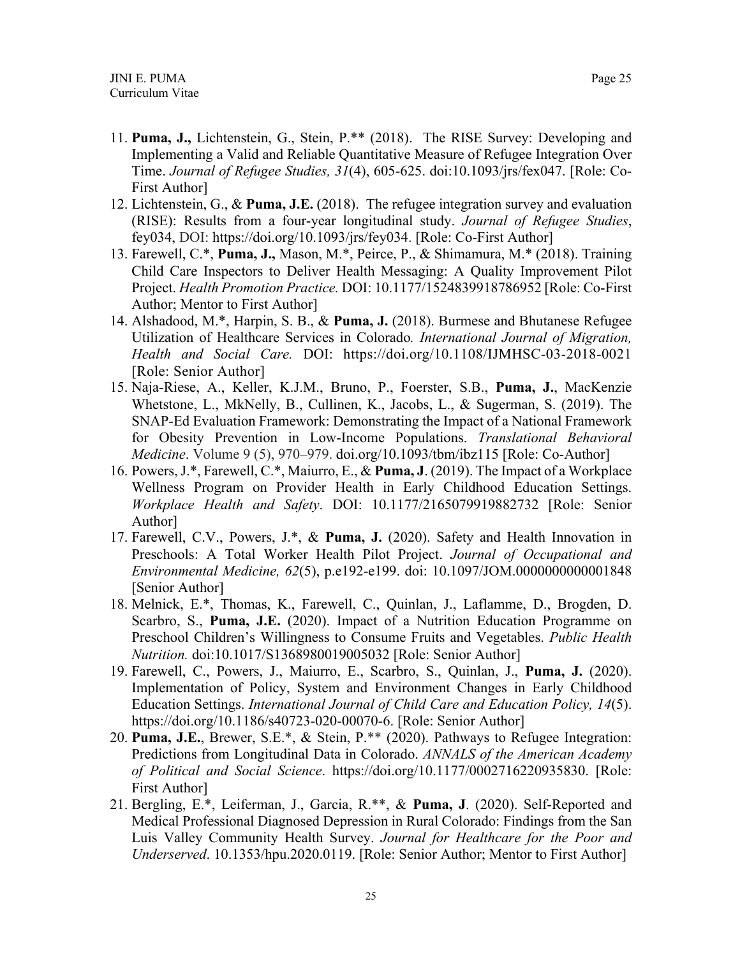- 11. **Puma, J.,** Lichtenstein, G., Stein, P.\*\* (2018). The RISE Survey: Developing and Implementing a Valid and Reliable Quantitative Measure of Refugee Integration Over Time. *Journal of Refugee Studies, 31*(4), 605-625. doi:10.1093/jrs/fex047. [Role: Co-First Author]
- 12. Lichtenstein, G., & **Puma, J.E.** (2018). The refugee integration survey and evaluation (RISE): Results from a four-year longitudinal study. *Journal of Refugee Studies*, fey034, DOI: https://doi.org/10.1093/jrs/fey034. [Role: Co-First Author]
- 13. Farewell, C.\*, **Puma, J.,** Mason, M.\*, Peirce, P., & Shimamura, M.\* (2018). Training Child Care Inspectors to Deliver Health Messaging: A Quality Improvement Pilot Project. *Health Promotion Practice.* DOI: 10.1177/1524839918786952 [Role: Co-First Author; Mentor to First Author]
- 14. Alshadood, M.\*, Harpin, S. B., & **Puma, J.** (2018). Burmese and Bhutanese Refugee Utilization of Healthcare Services in Colorado*. International Journal of Migration, Health and Social Care.* DOI: https://doi.org/10.1108/IJMHSC-03-2018-0021 [Role: Senior Author]
- 15. Naja-Riese, A., Keller, K.J.M., Bruno, P., Foerster, S.B., **Puma, J.**, MacKenzie Whetstone, L., MkNelly, B., Cullinen, K., Jacobs, L., & Sugerman, S. (2019). The SNAP-Ed Evaluation Framework: Demonstrating the Impact of a National Framework for Obesity Prevention in Low-Income Populations. *Translational Behavioral Medicine*. Volume 9 (5), 970–979. doi.org/10.1093/tbm/ibz115 [Role: Co-Author]
- 16. Powers, J.\*, Farewell, C.\*, Maiurro, E., & **Puma, J**. (2019). The Impact of a Workplace Wellness Program on Provider Health in Early Childhood Education Settings. *Workplace Health and Safety*. DOI: 10.1177/2165079919882732 [Role: Senior Author]
- 17. Farewell, C.V., Powers, J.\*, & **Puma, J.** (2020). Safety and Health Innovation in Preschools: A Total Worker Health Pilot Project. *Journal of Occupational and Environmental Medicine, 62*(5), p.e192-e199. doi: 10.1097/JOM.0000000000001848 [Senior Author]
- 18. Melnick, E.\*, Thomas, K., Farewell, C., Quinlan, J., Laflamme, D., Brogden, D. Scarbro, S., **Puma, J.E.** (2020). Impact of a Nutrition Education Programme on Preschool Children's Willingness to Consume Fruits and Vegetables. *Public Health Nutrition.* doi:10.1017/S1368980019005032 [Role: Senior Author]
- 19. Farewell, C., Powers, J., Maiurro, E., Scarbro, S., Quinlan, J., **Puma, J.** (2020). Implementation of Policy, System and Environment Changes in Early Childhood Education Settings. *International Journal of Child Care and Education Policy, 14*(5). https://doi.org/10.1186/s40723-020-00070-6. [Role: Senior Author]
- 20. **Puma, J.E.**, Brewer, S.E.\*, & Stein, P.\*\* (2020). Pathways to Refugee Integration: Predictions from Longitudinal Data in Colorado. *ANNALS of the American Academy of Political and Social Science*. https://doi.org/10.1177/0002716220935830. [Role: First Author]
- 21. Bergling, E.\*, Leiferman, J., Garcia, R.\*\*, & **Puma, J**. (2020). Self-Reported and Medical Professional Diagnosed Depression in Rural Colorado: Findings from the San Luis Valley Community Health Survey. *Journal for Healthcare for the Poor and Underserved*. 10.1353/hpu.2020.0119. [Role: Senior Author; Mentor to First Author]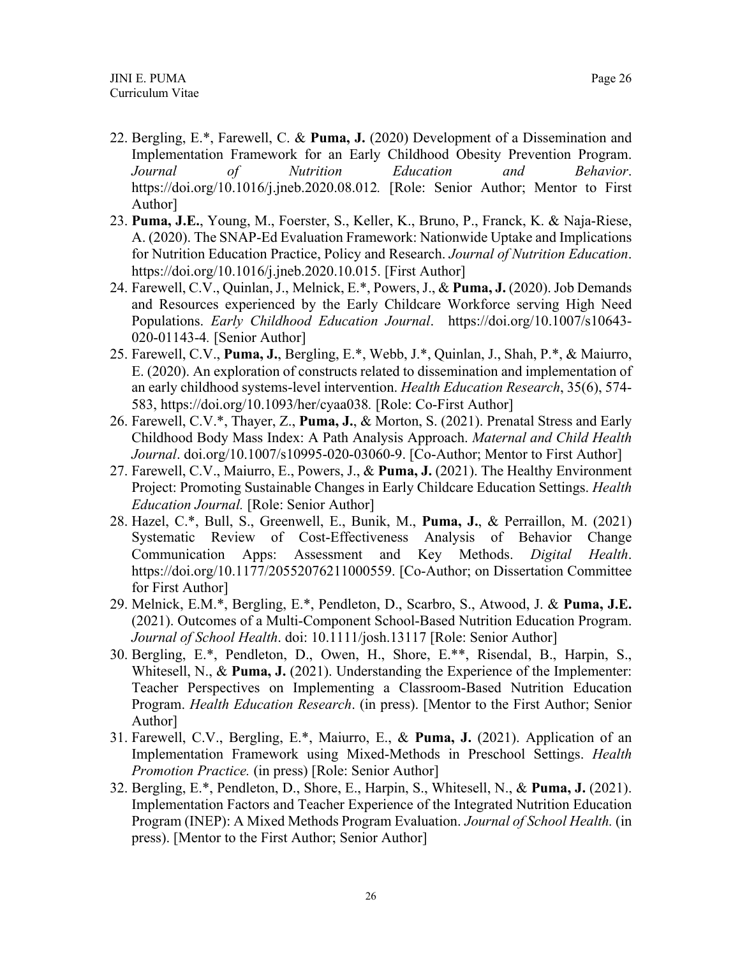- 22. Bergling, E.\*, Farewell, C. & **Puma, J.** (2020) Development of a Dissemination and Implementation Framework for an Early Childhood Obesity Prevention Program. *Journal of Nutrition Education and Behavior*. https://doi.org/10.1016/j.jneb.2020.08.012*.* [Role: Senior Author; Mentor to First Author]
- 23. **Puma, J.E.**, Young, M., Foerster, S., Keller, K., Bruno, P., Franck, K. & Naja-Riese, A. (2020). The SNAP-Ed Evaluation Framework: Nationwide Uptake and Implications for Nutrition Education Practice, Policy and Research. *Journal of Nutrition Education*. https://doi.org/10.1016/j.jneb.2020.10.015. [First Author]
- 24. Farewell, C.V., Quinlan, J., Melnick, E.\*, Powers, J., & **Puma, J.** (2020). Job Demands and Resources experienced by the Early Childcare Workforce serving High Need Populations. *Early Childhood Education Journal*. https://doi.org/10.1007/s10643- 020-01143-4*.* [Senior Author]
- 25. Farewell, C.V., **Puma, J.**, Bergling, E.\*, Webb, J.\*, Quinlan, J., Shah, P.\*, & Maiurro, E. (2020). An exploration of constructs related to dissemination and implementation of an early childhood systems-level intervention. *Health Education Research*, 35(6), 574- 583, https://doi.org/10.1093/her/cyaa038*.* [Role: Co-First Author]
- 26. Farewell, C.V.\*, Thayer, Z., **Puma, J.**, & Morton, S. (2021). Prenatal Stress and Early Childhood Body Mass Index: A Path Analysis Approach. *Maternal and Child Health Journal*. doi.org/10.1007/s10995-020-03060-9. [Co-Author; Mentor to First Author]
- 27. Farewell, C.V., Maiurro, E., Powers, J., & **Puma, J.** (2021). The Healthy Environment Project: Promoting Sustainable Changes in Early Childcare Education Settings. *Health Education Journal.* [Role: Senior Author]
- 28. Hazel, C.\*, Bull, S., Greenwell, E., Bunik, M., **Puma, J.**, & Perraillon, M. (2021) Systematic Review of Cost-Effectiveness Analysis of Behavior Change Communication Apps: Assessment and Key Methods. *Digital Health*. https://doi.org/10.1177/20552076211000559. [Co-Author; on Dissertation Committee for First Author]
- 29. Melnick, E.M.\*, Bergling, E.\*, Pendleton, D., Scarbro, S., Atwood, J. & **Puma, J.E.** (2021). Outcomes of a Multi-Component School-Based Nutrition Education Program. *Journal of School Health*. doi: 10.1111/josh.13117 [Role: Senior Author]
- 30. Bergling, E.\*, Pendleton, D., Owen, H., Shore, E.\*\*, Risendal, B., Harpin, S., Whitesell, N., & **Puma, J.** (2021). Understanding the Experience of the Implementer: Teacher Perspectives on Implementing a Classroom-Based Nutrition Education Program. *Health Education Research*. (in press). [Mentor to the First Author; Senior Author]
- 31. Farewell, C.V., Bergling, E.\*, Maiurro, E., & **Puma, J.** (2021). Application of an Implementation Framework using Mixed-Methods in Preschool Settings. *Health Promotion Practice.* (in press) [Role: Senior Author]
- 32. Bergling, E.\*, Pendleton, D., Shore, E., Harpin, S., Whitesell, N., & **Puma, J.** (2021). Implementation Factors and Teacher Experience of the Integrated Nutrition Education Program (INEP): A Mixed Methods Program Evaluation. *Journal of School Health.* (in press). [Mentor to the First Author; Senior Author]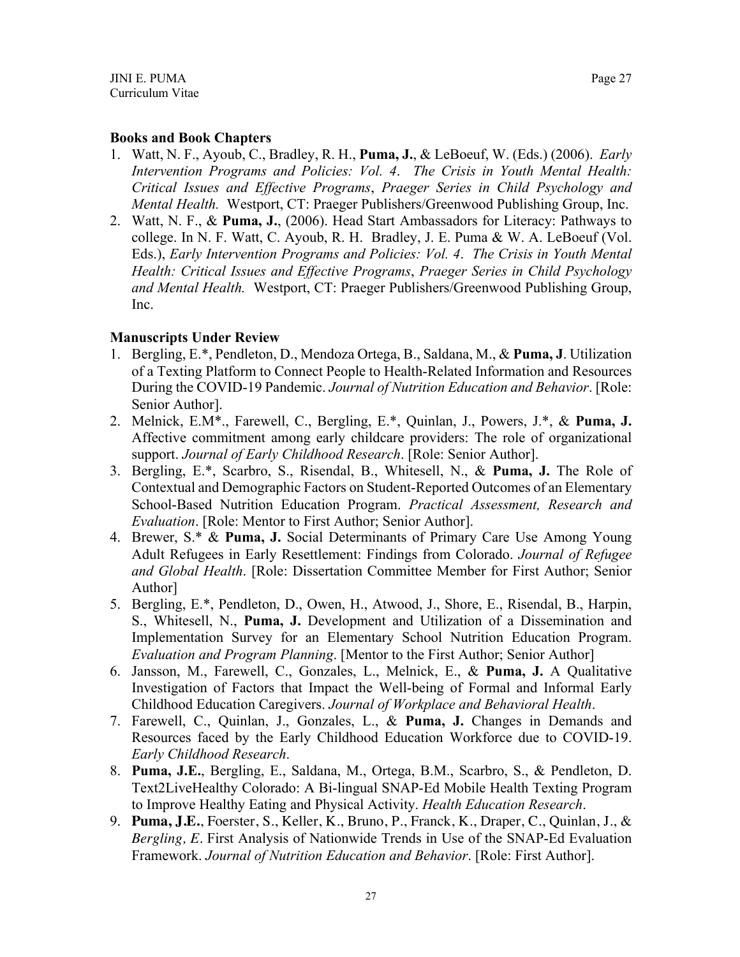#### **Books and Book Chapters**

- 1. Watt, N. F., Ayoub, C., Bradley, R. H., **Puma, J.**, & LeBoeuf, W. (Eds.) (2006). *Early Intervention Programs and Policies: Vol. 4*. *The Crisis in Youth Mental Health: Critical Issues and Effective Programs*, *Praeger Series in Child Psychology and Mental Health.* Westport, CT: Praeger Publishers/Greenwood Publishing Group, Inc.
- 2. Watt, N. F., & **Puma, J.**, (2006). Head Start Ambassadors for Literacy: Pathways to college. In N. F. Watt, C. Ayoub, R. H. Bradley, J. E. Puma & W. A. LeBoeuf (Vol. Eds.), *Early Intervention Programs and Policies: Vol. 4*. *The Crisis in Youth Mental Health: Critical Issues and Effective Programs*, *Praeger Series in Child Psychology and Mental Health.* Westport, CT: Praeger Publishers/Greenwood Publishing Group, Inc.

#### **Manuscripts Under Review**

- 1. Bergling, E.\*, Pendleton, D., Mendoza Ortega, B., Saldana, M., & **Puma, J**. Utilization of a Texting Platform to Connect People to Health-Related Information and Resources During the COVID-19 Pandemic. *Journal of Nutrition Education and Behavior*. [Role: Senior Author].
- 2. Melnick, E.M\*., Farewell, C., Bergling, E.\*, Quinlan, J., Powers, J.\*, & **Puma, J.** Affective commitment among early childcare providers: The role of organizational support. *Journal of Early Childhood Research*. [Role: Senior Author].
- 3. Bergling, E.\*, Scarbro, S., Risendal, B., Whitesell, N., & **Puma, J.** The Role of Contextual and Demographic Factors on Student-Reported Outcomes of an Elementary School-Based Nutrition Education Program. *Practical Assessment, Research and Evaluation*. [Role: Mentor to First Author; Senior Author].
- 4. Brewer, S.\* & **Puma, J.** Social Determinants of Primary Care Use Among Young Adult Refugees in Early Resettlement: Findings from Colorado. *Journal of Refugee and Global Health*. [Role: Dissertation Committee Member for First Author; Senior Author]
- 5. Bergling, E.\*, Pendleton, D., Owen, H., Atwood, J., Shore, E., Risendal, B., Harpin, S., Whitesell, N., **Puma, J.** Development and Utilization of a Dissemination and Implementation Survey for an Elementary School Nutrition Education Program. *Evaluation and Program Planning*. [Mentor to the First Author; Senior Author]
- 6. Jansson, M., Farewell, C., Gonzales, L., Melnick, E., & **Puma, J.** A Qualitative Investigation of Factors that Impact the Well-being of Formal and Informal Early Childhood Education Caregivers. *Journal of Workplace and Behavioral Health*.
- 7. Farewell, C., Quinlan, J., Gonzales, L., & **Puma, J.** Changes in Demands and Resources faced by the Early Childhood Education Workforce due to COVID-19. *Early Childhood Research*.
- 8. **Puma, J.E.**, Bergling, E., Saldana, M., Ortega, B.M., Scarbro, S., & Pendleton, D. Text2LiveHealthy Colorado: A Bi-lingual SNAP-Ed Mobile Health Texting Program to Improve Healthy Eating and Physical Activity. *Health Education Research*.
- 9. **Puma, J.E.**, Foerster, S., Keller, K., Bruno, P., Franck, K., Draper, C., Quinlan, J., & *Bergling, E.* First Analysis of Nationwide Trends in Use of the SNAP-Ed Evaluation Framework. *Journal of Nutrition Education and Behavior*. [Role: First Author].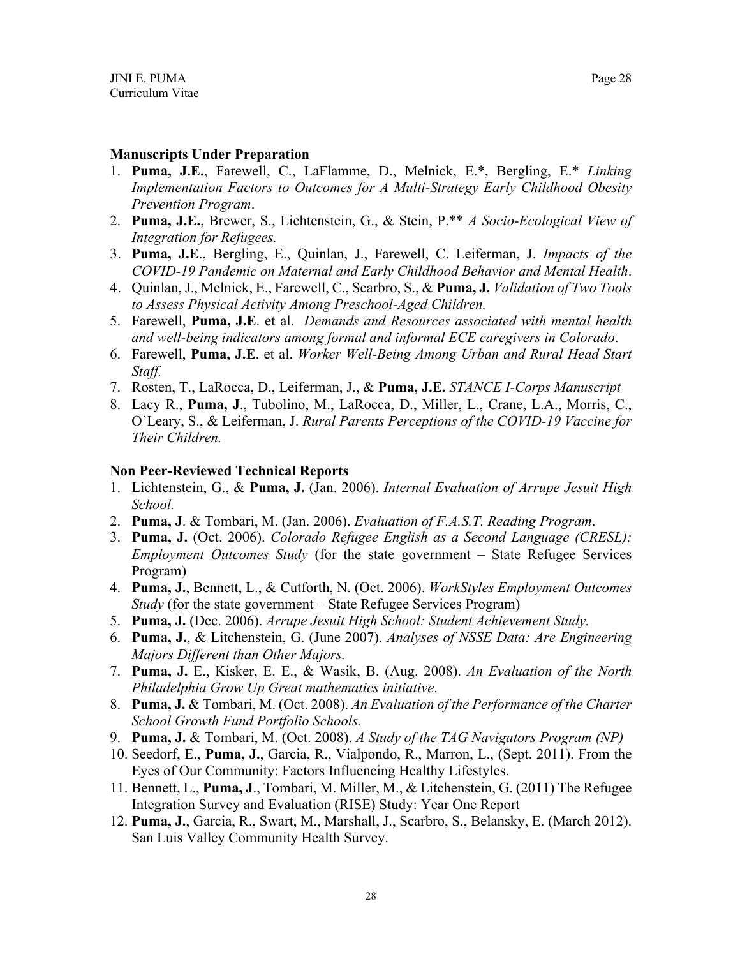#### **Manuscripts Under Preparation**

- 1. **Puma, J.E.**, Farewell, C., LaFlamme, D., Melnick, E.\*, Bergling, E.\* *Linking Implementation Factors to Outcomes for A Multi-Strategy Early Childhood Obesity Prevention Program*.
- 2. **Puma, J.E.**, Brewer, S., Lichtenstein, G., & Stein, P.\*\* *A Socio-Ecological View of Integration for Refugees.*
- 3. **Puma, J.E**., Bergling, E., Quinlan, J., Farewell, C. Leiferman, J. *Impacts of the COVID-19 Pandemic on Maternal and Early Childhood Behavior and Mental Health*.
- 4. Quinlan, J., Melnick, E., Farewell, C., Scarbro, S., & **Puma, J.** *Validation of Two Tools to Assess Physical Activity Among Preschool-Aged Children.*
- 5. Farewell, **Puma, J.E**. et al. *Demands and Resources associated with mental health and well-being indicators among formal and informal ECE caregivers in Colorado*.
- 6. Farewell, **Puma, J.E**. et al. *Worker Well-Being Among Urban and Rural Head Start Staff.*
- 7. Rosten, T., LaRocca, D., Leiferman, J., & **Puma, J.E.** *STANCE I-Corps Manuscript*
- 8. Lacy R., **Puma, J**., Tubolino, M., LaRocca, D., Miller, L., Crane, L.A., Morris, C., O'Leary, S., & Leiferman, J. *Rural Parents Perceptions of the COVID-19 Vaccine for Their Children.*

#### **Non Peer-Reviewed Technical Reports**

- 1. Lichtenstein, G., & **Puma, J.** (Jan. 2006). *Internal Evaluation of Arrupe Jesuit High School.*
- 2. **Puma, J**. & Tombari, M. (Jan. 2006). *Evaluation of F.A.S.T. Reading Program*.
- 3. **Puma, J.** (Oct. 2006). *Colorado Refugee English as a Second Language (CRESL): Employment Outcomes Study* (for the state government – State Refugee Services Program)
- 4. **Puma, J.**, Bennett, L., & Cutforth, N. (Oct. 2006). *WorkStyles Employment Outcomes Study* (for the state government – State Refugee Services Program)
- 5. **Puma, J.** (Dec. 2006). *Arrupe Jesuit High School: Student Achievement Study.*
- 6. **Puma, J.**, & Litchenstein, G. (June 2007). *Analyses of NSSE Data: Are Engineering Majors Different than Other Majors.*
- 7. **Puma, J.** E., Kisker, E. E., & Wasik, B. (Aug. 2008). *An Evaluation of the North Philadelphia Grow Up Great mathematics initiative*.
- 8. **Puma, J.** & Tombari, M. (Oct. 2008). *An Evaluation of the Performance of the Charter School Growth Fund Portfolio Schools.*
- 9. **Puma, J.** & Tombari, M. (Oct. 2008). *A Study of the TAG Navigators Program (NP)*
- 10. Seedorf, E., **Puma, J.**, Garcia, R., Vialpondo, R., Marron, L., (Sept. 2011). From the Eyes of Our Community: Factors Influencing Healthy Lifestyles.
- 11. Bennett, L., **Puma, J**., Tombari, M. Miller, M., & Litchenstein, G. (2011) The Refugee Integration Survey and Evaluation (RISE) Study: Year One Report
- 12. **Puma, J.**, Garcia, R., Swart, M., Marshall, J., Scarbro, S., Belansky, E. (March 2012). San Luis Valley Community Health Survey.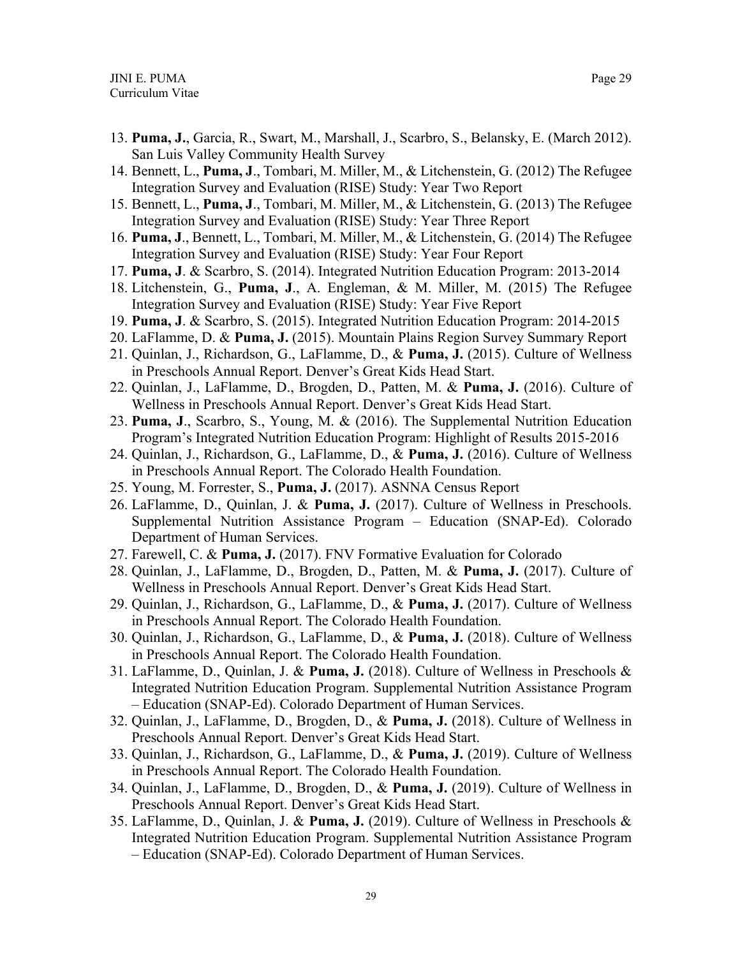- 13. **Puma, J.**, Garcia, R., Swart, M., Marshall, J., Scarbro, S., Belansky, E. (March 2012).
- San Luis Valley Community Health Survey
- 14. Bennett, L., **Puma, J**., Tombari, M. Miller, M., & Litchenstein, G. (2012) The Refugee Integration Survey and Evaluation (RISE) Study: Year Two Report
- 15. Bennett, L., **Puma, J**., Tombari, M. Miller, M., & Litchenstein, G. (2013) The Refugee Integration Survey and Evaluation (RISE) Study: Year Three Report
- 16. **Puma, J**., Bennett, L., Tombari, M. Miller, M., & Litchenstein, G. (2014) The Refugee Integration Survey and Evaluation (RISE) Study: Year Four Report
- 17. **Puma, J**. & Scarbro, S. (2014). Integrated Nutrition Education Program: 2013-2014
- 18. Litchenstein, G., **Puma, J**., A. Engleman, & M. Miller, M. (2015) The Refugee Integration Survey and Evaluation (RISE) Study: Year Five Report
- 19. **Puma, J**. & Scarbro, S. (2015). Integrated Nutrition Education Program: 2014-2015
- 20. LaFlamme, D. & **Puma, J.** (2015). Mountain Plains Region Survey Summary Report
- 21. Quinlan, J., Richardson, G., LaFlamme, D., & **Puma, J.** (2015). Culture of Wellness in Preschools Annual Report. Denver's Great Kids Head Start.
- 22. Quinlan, J., LaFlamme, D., Brogden, D., Patten, M. & **Puma, J.** (2016). Culture of Wellness in Preschools Annual Report. Denver's Great Kids Head Start.
- 23. **Puma, J**., Scarbro, S., Young, M. & (2016). The Supplemental Nutrition Education Program's Integrated Nutrition Education Program: Highlight of Results 2015-2016
- 24. Quinlan, J., Richardson, G., LaFlamme, D., & **Puma, J.** (2016). Culture of Wellness in Preschools Annual Report. The Colorado Health Foundation.
- 25. Young, M. Forrester, S., **Puma, J.** (2017). ASNNA Census Report
- 26. LaFlamme, D., Quinlan, J. & **Puma, J.** (2017). Culture of Wellness in Preschools. Supplemental Nutrition Assistance Program – Education (SNAP-Ed). Colorado Department of Human Services.
- 27. Farewell, C. & **Puma, J.** (2017). FNV Formative Evaluation for Colorado
- 28. Quinlan, J., LaFlamme, D., Brogden, D., Patten, M. & **Puma, J.** (2017). Culture of Wellness in Preschools Annual Report. Denver's Great Kids Head Start.
- 29. Quinlan, J., Richardson, G., LaFlamme, D., & **Puma, J.** (2017). Culture of Wellness in Preschools Annual Report. The Colorado Health Foundation.
- 30. Quinlan, J., Richardson, G., LaFlamme, D., & **Puma, J.** (2018). Culture of Wellness in Preschools Annual Report. The Colorado Health Foundation.
- 31. LaFlamme, D., Quinlan, J. & **Puma, J.** (2018). Culture of Wellness in Preschools & Integrated Nutrition Education Program. Supplemental Nutrition Assistance Program – Education (SNAP-Ed). Colorado Department of Human Services.
- 32. Quinlan, J., LaFlamme, D., Brogden, D., & **Puma, J.** (2018). Culture of Wellness in Preschools Annual Report. Denver's Great Kids Head Start.
- 33. Quinlan, J., Richardson, G., LaFlamme, D., & **Puma, J.** (2019). Culture of Wellness in Preschools Annual Report. The Colorado Health Foundation.
- 34. Quinlan, J., LaFlamme, D., Brogden, D., & **Puma, J.** (2019). Culture of Wellness in Preschools Annual Report. Denver's Great Kids Head Start.
- 35. LaFlamme, D., Quinlan, J. & **Puma, J.** (2019). Culture of Wellness in Preschools & Integrated Nutrition Education Program. Supplemental Nutrition Assistance Program – Education (SNAP-Ed). Colorado Department of Human Services.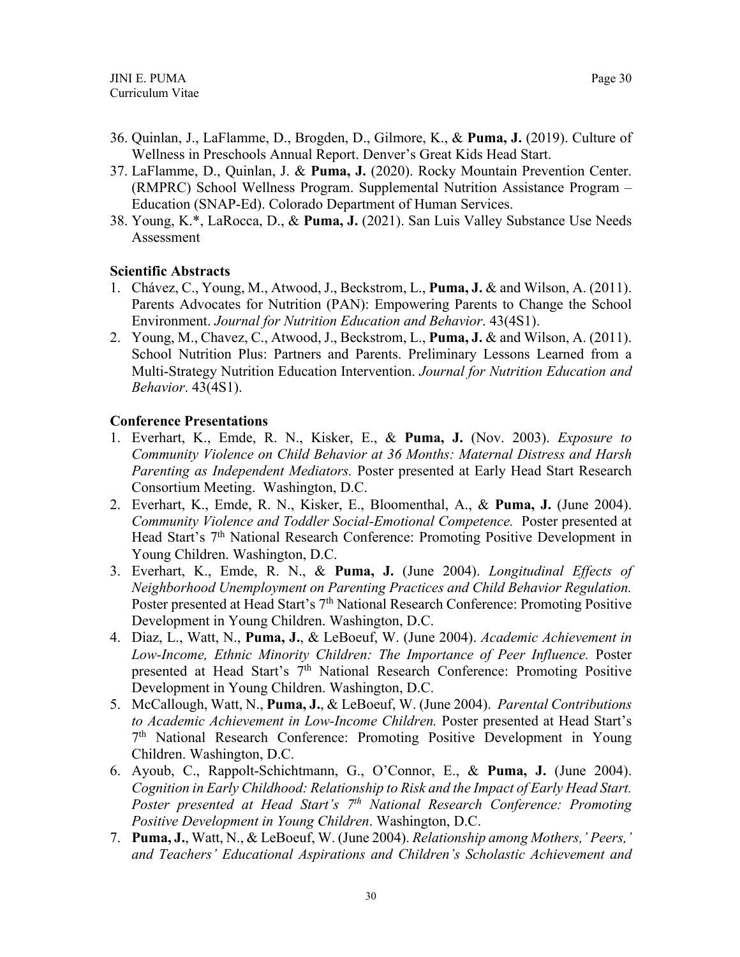- 36. Quinlan, J., LaFlamme, D., Brogden, D., Gilmore, K., & **Puma, J.** (2019). Culture of Wellness in Preschools Annual Report. Denver's Great Kids Head Start.
- 37. LaFlamme, D., Quinlan, J. & **Puma, J.** (2020). Rocky Mountain Prevention Center. (RMPRC) School Wellness Program. Supplemental Nutrition Assistance Program – Education (SNAP-Ed). Colorado Department of Human Services.
- 38. Young, K.\*, LaRocca, D., & **Puma, J.** (2021). San Luis Valley Substance Use Needs Assessment

#### **Scientific Abstracts**

- 1. Chávez, C., Young, M., Atwood, J., Beckstrom, L., **Puma, J.** & and Wilson, A. (2011). Parents Advocates for Nutrition (PAN): Empowering Parents to Change the School Environment. *Journal for Nutrition Education and Behavior*. 43(4S1).
- 2. Young, M., Chavez, C., Atwood, J., Beckstrom, L., **Puma, J.** & and Wilson, A. (2011). School Nutrition Plus: Partners and Parents. Preliminary Lessons Learned from a Multi-Strategy Nutrition Education Intervention. *Journal for Nutrition Education and Behavior*. 43(4S1).

#### **Conference Presentations**

- 1. Everhart, K., Emde, R. N., Kisker, E., & **Puma, J.** (Nov. 2003). *Exposure to Community Violence on Child Behavior at 36 Months: Maternal Distress and Harsh Parenting as Independent Mediators.* Poster presented at Early Head Start Research Consortium Meeting. Washington, D.C.
- 2. Everhart, K., Emde, R. N., Kisker, E., Bloomenthal, A., & **Puma, J.** (June 2004). *Community Violence and Toddler Social-Emotional Competence.* Poster presented at Head Start's 7<sup>th</sup> National Research Conference: Promoting Positive Development in Young Children. Washington, D.C.
- 3. Everhart, K., Emde, R. N., & **Puma, J.** (June 2004). *Longitudinal Effects of Neighborhood Unemployment on Parenting Practices and Child Behavior Regulation.* Poster presented at Head Start's 7<sup>th</sup> National Research Conference: Promoting Positive Development in Young Children. Washington, D.C.
- 4. Diaz, L., Watt, N., **Puma, J.**, & LeBoeuf, W. (June 2004). *Academic Achievement in Low-Income, Ethnic Minority Children: The Importance of Peer Influence.* Poster presented at Head Start's 7<sup>th</sup> National Research Conference: Promoting Positive Development in Young Children. Washington, D.C.
- 5. McCallough, Watt, N., **Puma, J.**, & LeBoeuf, W. (June 2004). *Parental Contributions to Academic Achievement in Low-Income Children.* Poster presented at Head Start's 7th National Research Conference: Promoting Positive Development in Young Children. Washington, D.C.
- 6. Ayoub, C., Rappolt-Schichtmann, G., O'Connor, E., & **Puma, J.** (June 2004). *Cognition in Early Childhood: Relationship to Risk and the Impact of Early Head Start. Poster presented at Head Start's 7th National Research Conference: Promoting Positive Development in Young Children*. Washington, D.C.
- 7. **Puma, J.**, Watt, N., & LeBoeuf, W. (June 2004). *Relationship among Mothers,' Peers,' and Teachers' Educational Aspirations and Children's Scholastic Achievement and*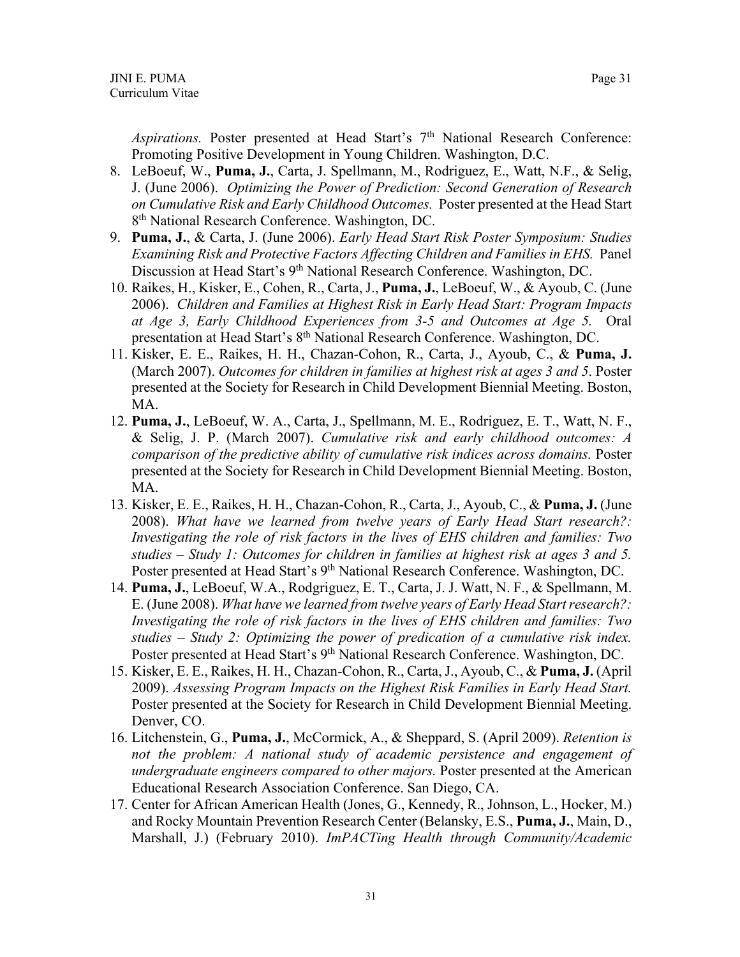*Aspirations.* Poster presented at Head Start's 7<sup>th</sup> National Research Conference: Promoting Positive Development in Young Children. Washington, D.C.

- 8. LeBoeuf, W., **Puma, J.**, Carta, J. Spellmann, M., Rodriguez, E., Watt, N.F., & Selig, J. (June 2006). *Optimizing the Power of Prediction: Second Generation of Research on Cumulative Risk and Early Childhood Outcomes.* Poster presented at the Head Start 8<sup>th</sup> National Research Conference. Washington, DC.
- 9. **Puma, J.**, & Carta, J. (June 2006). *Early Head Start Risk Poster Symposium: Studies Examining Risk and Protective Factors Affecting Children and Families in EHS.* Panel Discussion at Head Start's 9<sup>th</sup> National Research Conference. Washington, DC.
- 10. Raikes, H., Kisker, E., Cohen, R., Carta, J., **Puma, J.**, LeBoeuf, W., & Ayoub, C. (June 2006). *Children and Families at Highest Risk in Early Head Start: Program Impacts at Age 3, Early Childhood Experiences from 3-5 and Outcomes at Age 5.* Oral presentation at Head Start's 8<sup>th</sup> National Research Conference. Washington, DC.
- 11. Kisker, E. E., Raikes, H. H., Chazan-Cohon, R., Carta, J., Ayoub, C., & **Puma, J.** (March 2007). *Outcomes for children in families at highest risk at ages 3 and 5*. Poster presented at the Society for Research in Child Development Biennial Meeting. Boston, MA.
- 12. **Puma, J.**, LeBoeuf, W. A., Carta, J., Spellmann, M. E., Rodriguez, E. T., Watt, N. F., & Selig, J. P. (March 2007). *Cumulative risk and early childhood outcomes: A comparison of the predictive ability of cumulative risk indices across domains.* Poster presented at the Society for Research in Child Development Biennial Meeting. Boston, MA.
- 13. Kisker, E. E., Raikes, H. H., Chazan-Cohon, R., Carta, J., Ayoub, C., & **Puma, J.** (June 2008). *What have we learned from twelve years of Early Head Start research?: Investigating the role of risk factors in the lives of EHS children and families: Two studies – Study 1: Outcomes for children in families at highest risk at ages 3 and 5.* Poster presented at Head Start's 9<sup>th</sup> National Research Conference. Washington, DC.
- 14. **Puma, J.**, LeBoeuf, W.A., Rodgriguez, E. T., Carta, J. J. Watt, N. F., & Spellmann, M. E. (June 2008). *What have we learned from twelve years of Early Head Start research?: Investigating the role of risk factors in the lives of EHS children and families: Two studies – Study 2: Optimizing the power of predication of a cumulative risk index.* Poster presented at Head Start's 9<sup>th</sup> National Research Conference. Washington, DC.
- 15. Kisker, E. E., Raikes, H. H., Chazan-Cohon, R., Carta, J., Ayoub, C., & **Puma, J.** (April 2009). *Assessing Program Impacts on the Highest Risk Families in Early Head Start.* Poster presented at the Society for Research in Child Development Biennial Meeting. Denver, CO.
- 16. Litchenstein, G., **Puma, J.**, McCormick, A., & Sheppard, S. (April 2009). *Retention is not the problem: A national study of academic persistence and engagement of undergraduate engineers compared to other majors.* Poster presented at the American Educational Research Association Conference. San Diego, CA.
- 17. Center for African American Health (Jones, G., Kennedy, R., Johnson, L., Hocker, M.) and Rocky Mountain Prevention Research Center (Belansky, E.S., **Puma, J.**, Main, D., Marshall, J.) (February 2010). *ImPACTing Health through Community/Academic*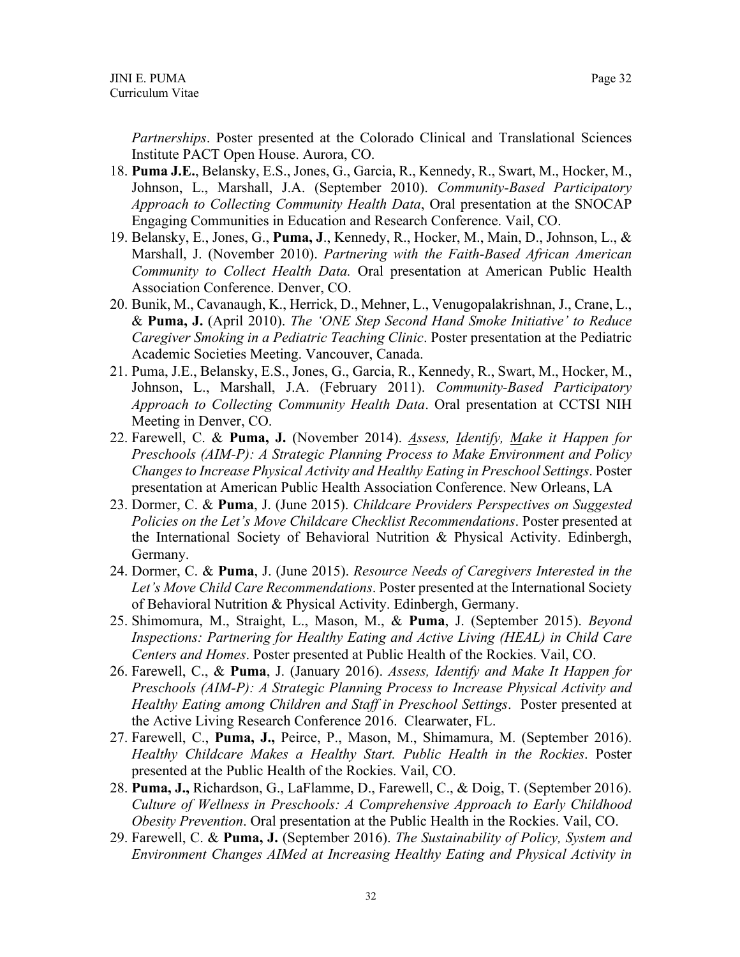*Partnerships*. Poster presented at the Colorado Clinical and Translational Sciences Institute PACT Open House. Aurora, CO.

- 18. **Puma J.E.**, Belansky, E.S., Jones, G., Garcia, R., Kennedy, R., Swart, M., Hocker, M., Johnson, L., Marshall, J.A. (September 2010). *Community-Based Participatory Approach to Collecting Community Health Data*, Oral presentation at the SNOCAP Engaging Communities in Education and Research Conference. Vail, CO.
- 19. Belansky, E., Jones, G., **Puma, J**., Kennedy, R., Hocker, M., Main, D., Johnson, L., & Marshall, J. (November 2010). *Partnering with the Faith-Based African American Community to Collect Health Data.* Oral presentation at American Public Health Association Conference. Denver, CO.
- 20. Bunik, M., Cavanaugh, K., Herrick, D., Mehner, L., Venugopalakrishnan, J., Crane, L., & **Puma, J.** (April 2010). *The 'ONE Step Second Hand Smoke Initiative' to Reduce Caregiver Smoking in a Pediatric Teaching Clinic*. Poster presentation at the Pediatric Academic Societies Meeting. Vancouver, Canada.
- 21. Puma, J.E., Belansky, E.S., Jones, G., Garcia, R., Kennedy, R., Swart, M., Hocker, M., Johnson, L., Marshall, J.A. (February 2011). *Community-Based Participatory Approach to Collecting Community Health Data*. Oral presentation at CCTSI NIH Meeting in Denver, CO.
- 22. Farewell, C. & **Puma, J.** (November 2014). *Assess, Identify, Make it Happen for Preschools (AIM-P): A Strategic Planning Process to Make Environment and Policy Changes to Increase Physical Activity and Healthy Eating in Preschool Settings*. Poster presentation at American Public Health Association Conference. New Orleans, LA
- 23. Dormer, C. & **Puma**, J. (June 2015). *Childcare Providers Perspectives on Suggested Policies on the Let's Move Childcare Checklist Recommendations*. Poster presented at the International Society of Behavioral Nutrition & Physical Activity. Edinbergh, Germany.
- 24. Dormer, C. & **Puma**, J. (June 2015). *Resource Needs of Caregivers Interested in the Let's Move Child Care Recommendations*. Poster presented at the International Society of Behavioral Nutrition & Physical Activity. Edinbergh, Germany.
- 25. Shimomura, M., Straight, L., Mason, M., & **Puma**, J. (September 2015). *Beyond Inspections: Partnering for Healthy Eating and Active Living (HEAL) in Child Care Centers and Homes*. Poster presented at Public Health of the Rockies. Vail, CO.
- 26. Farewell, C., & **Puma**, J. (January 2016). *Assess, Identify and Make It Happen for Preschools (AIM-P): A Strategic Planning Process to Increase Physical Activity and Healthy Eating among Children and Staff in Preschool Settings*. Poster presented at the Active Living Research Conference 2016. Clearwater, FL.
- 27. Farewell, C., **Puma, J.,** Peirce, P., Mason, M., Shimamura, M. (September 2016). *Healthy Childcare Makes a Healthy Start. Public Health in the Rockies*. Poster presented at the Public Health of the Rockies. Vail, CO.
- 28. **Puma, J.,** Richardson, G., LaFlamme, D., Farewell, C., & Doig, T. (September 2016). *Culture of Wellness in Preschools: A Comprehensive Approach to Early Childhood Obesity Prevention*. Oral presentation at the Public Health in the Rockies. Vail, CO.
- 29. Farewell, C. & **Puma, J.** (September 2016). *The Sustainability of Policy, System and Environment Changes AIMed at Increasing Healthy Eating and Physical Activity in*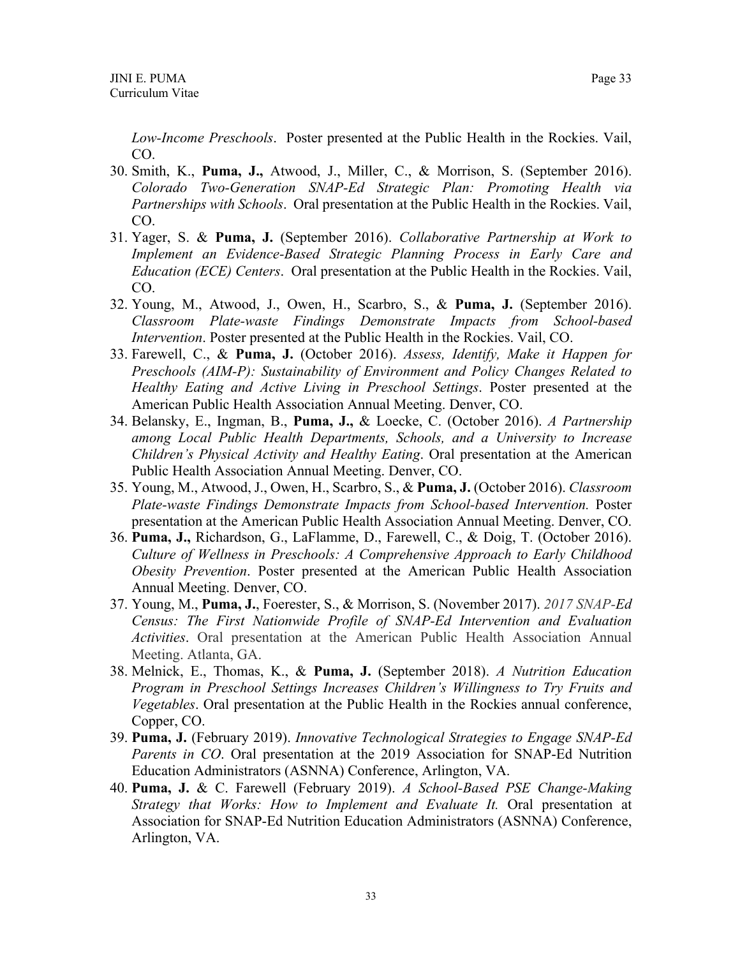CO.

*Low-Income Preschools*. Poster presented at the Public Health in the Rockies. Vail,

- 30. Smith, K., **Puma, J.,** Atwood, J., Miller, C., & Morrison, S. (September 2016). *Colorado Two-Generation SNAP-Ed Strategic Plan: Promoting Health via Partnerships with Schools*. Oral presentation at the Public Health in the Rockies. Vail, CO.
- 31. Yager, S. & **Puma, J.** (September 2016). *Collaborative Partnership at Work to Implement an Evidence-Based Strategic Planning Process in Early Care and Education (ECE) Centers*. Oral presentation at the Public Health in the Rockies. Vail, CO.
- 32. Young, M., Atwood, J., Owen, H., Scarbro, S., & **Puma, J.** (September 2016). *Classroom Plate-waste Findings Demonstrate Impacts from School-based Intervention*. Poster presented at the Public Health in the Rockies. Vail, CO.
- 33. Farewell, C., & **Puma, J.** (October 2016). *Assess, Identify, Make it Happen for Preschools (AIM-P): Sustainability of Environment and Policy Changes Related to Healthy Eating and Active Living in Preschool Settings*. Poster presented at the American Public Health Association Annual Meeting. Denver, CO.
- 34. Belansky, E., Ingman, B., **Puma, J.,** & Loecke, C. (October 2016). *A Partnership among Local Public Health Departments, Schools, and a University to Increase Children's Physical Activity and Healthy Eating*. Oral presentation at the American Public Health Association Annual Meeting. Denver, CO.
- 35. Young, M., Atwood, J., Owen, H., Scarbro, S., & **Puma, J.** (October 2016). *Classroom Plate-waste Findings Demonstrate Impacts from School-based Intervention.* Poster presentation at the American Public Health Association Annual Meeting. Denver, CO.
- 36. **Puma, J.,** Richardson, G., LaFlamme, D., Farewell, C., & Doig, T. (October 2016). *Culture of Wellness in Preschools: A Comprehensive Approach to Early Childhood Obesity Prevention*. Poster presented at the American Public Health Association Annual Meeting. Denver, CO.
- 37. Young, M., **Puma, J.**, Foerester, S., & Morrison, S. (November 2017). *2017 SNAP-Ed Census: The First Nationwide Profile of SNAP-Ed Intervention and Evaluation Activities*. Oral presentation at the American Public Health Association Annual Meeting. Atlanta, GA.
- 38. Melnick, E., Thomas, K., & **Puma, J.** (September 2018). *A Nutrition Education Program in Preschool Settings Increases Children's Willingness to Try Fruits and Vegetables*. Oral presentation at the Public Health in the Rockies annual conference, Copper, CO.
- 39. **Puma, J.** (February 2019). *Innovative Technological Strategies to Engage SNAP-Ed Parents in CO*. Oral presentation at the 2019 Association for SNAP-Ed Nutrition Education Administrators (ASNNA) Conference, Arlington, VA.
- 40. **Puma, J.** & C. Farewell (February 2019). *A School-Based PSE Change-Making Strategy that Works: How to Implement and Evaluate It.* Oral presentation at Association for SNAP-Ed Nutrition Education Administrators (ASNNA) Conference, Arlington, VA.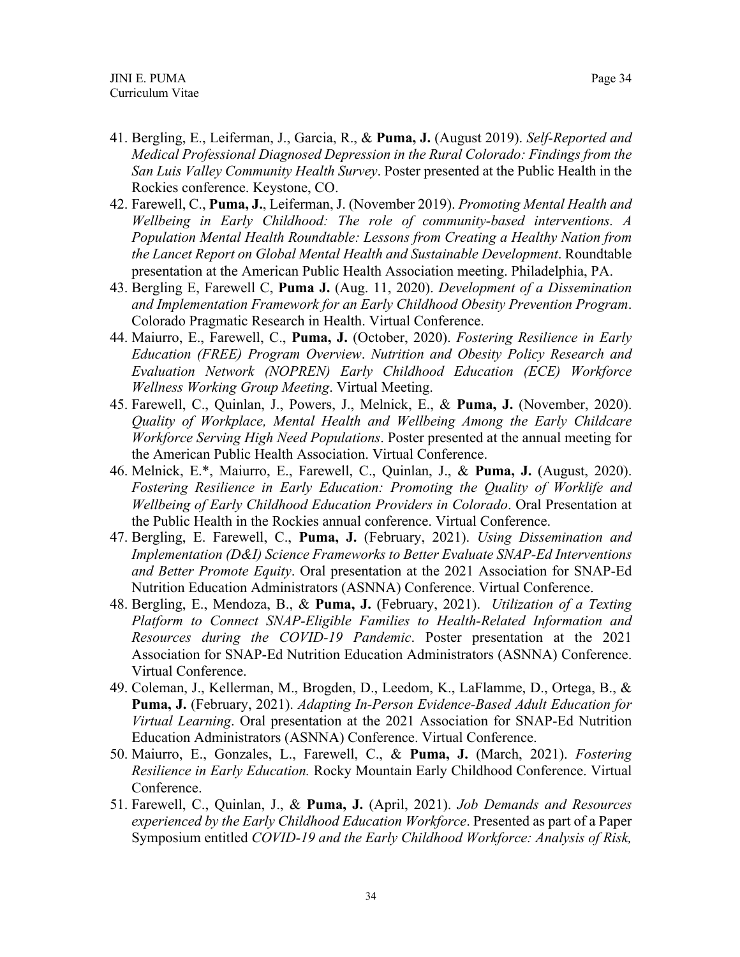- 41. Bergling, E., Leiferman, J., Garcia, R., & **Puma, J.** (August 2019). *Self-Reported and Medical Professional Diagnosed Depression in the Rural Colorado: Findings from the San Luis Valley Community Health Survey*. Poster presented at the Public Health in the Rockies conference. Keystone, CO.
- 42. Farewell, C., **Puma, J.**, Leiferman, J. (November 2019). *Promoting Mental Health and Wellbeing in Early Childhood: The role of community-based interventions. A Population Mental Health Roundtable: Lessons from Creating a Healthy Nation from the Lancet Report on Global Mental Health and Sustainable Development*. Roundtable presentation at the American Public Health Association meeting. Philadelphia, PA.
- 43. Bergling E, Farewell C, **Puma J.** (Aug. 11, 2020). *Development of a Dissemination and Implementation Framework for an Early Childhood Obesity Prevention Program*. Colorado Pragmatic Research in Health. Virtual Conference.
- 44. Maiurro, E., Farewell, C., **Puma, J.** (October, 2020). *Fostering Resilience in Early Education (FREE) Program Overview*. *Nutrition and Obesity Policy Research and Evaluation Network (NOPREN) Early Childhood Education (ECE) Workforce Wellness Working Group Meeting*. Virtual Meeting.
- 45. Farewell, C., Quinlan, J., Powers, J., Melnick, E., & **Puma, J.** (November, 2020). *Quality of Workplace, Mental Health and Wellbeing Among the Early Childcare Workforce Serving High Need Populations*. Poster presented at the annual meeting for the American Public Health Association. Virtual Conference.
- 46. Melnick, E.\*, Maiurro, E., Farewell, C., Quinlan, J., & **Puma, J.** (August, 2020). *Fostering Resilience in Early Education: Promoting the Quality of Worklife and Wellbeing of Early Childhood Education Providers in Colorado*. Oral Presentation at the Public Health in the Rockies annual conference. Virtual Conference.
- 47. Bergling, E. Farewell, C., **Puma, J.** (February, 2021). *Using Dissemination and Implementation (D&I) Science Frameworks to Better Evaluate SNAP-Ed Interventions and Better Promote Equity*. Oral presentation at the 2021 Association for SNAP-Ed Nutrition Education Administrators (ASNNA) Conference. Virtual Conference.
- 48. Bergling, E., Mendoza, B., & **Puma, J.** (February, 2021). *Utilization of a Texting Platform to Connect SNAP-Eligible Families to Health-Related Information and Resources during the COVID-19 Pandemic*. Poster presentation at the 2021 Association for SNAP-Ed Nutrition Education Administrators (ASNNA) Conference. Virtual Conference.
- 49. Coleman, J., Kellerman, M., Brogden, D., Leedom, K., LaFlamme, D., Ortega, B., & **Puma, J.** (February, 2021). *Adapting In-Person Evidence-Based Adult Education for Virtual Learning*. Oral presentation at the 2021 Association for SNAP-Ed Nutrition Education Administrators (ASNNA) Conference. Virtual Conference.
- 50. Maiurro, E., Gonzales, L., Farewell, C., & **Puma, J.** (March, 2021). *Fostering Resilience in Early Education.* Rocky Mountain Early Childhood Conference. Virtual Conference.
- 51. Farewell, C., Quinlan, J., & **Puma, J.** (April, 2021). *Job Demands and Resources experienced by the Early Childhood Education Workforce*. Presented as part of a Paper Symposium entitled *COVID-19 and the Early Childhood Workforce: Analysis of Risk,*